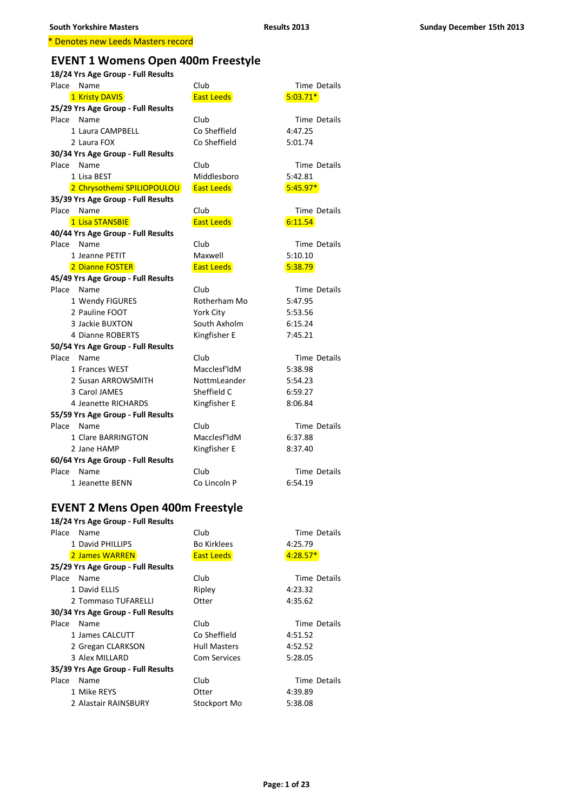# **EVENT 1 Womens Open 400m Freestyle**

| 18/24 Yrs Age Group - Full Results |                   |                     |  |
|------------------------------------|-------------------|---------------------|--|
| Place Name                         | Club              | <b>Time Details</b> |  |
| 1 Kristy DAVIS                     | <b>East Leeds</b> | $5:03.71*$          |  |
| 25/29 Yrs Age Group - Full Results |                   |                     |  |
| Place Name                         | Club              | <b>Time Details</b> |  |
| 1 Laura CAMPBELL                   | Co Sheffield      | 4:47.25             |  |
| 2 Laura FOX                        | Co Sheffield      | 5:01.74             |  |
| 30/34 Yrs Age Group - Full Results |                   |                     |  |
| Place Name                         | Club              | Time Details        |  |
| 1 Lisa BEST                        | Middlesboro       | 5:42.81             |  |
| 2 Chrysothemi SPILIOPOULOU         | <b>East Leeds</b> | $5:45.97*$          |  |
| 35/39 Yrs Age Group - Full Results |                   |                     |  |
| Place<br>Name                      | Club              | Time Details        |  |
| 1 Lisa STANSBIE                    | <b>East Leeds</b> | 6:11.54             |  |
| 40/44 Yrs Age Group - Full Results |                   |                     |  |
| Place Name                         | Club              | <b>Time Details</b> |  |
| 1 Jeanne PETIT                     | Maxwell           | 5:10.10             |  |
| 2 Dianne FOSTER                    | <b>East Leeds</b> | 5:38.79             |  |
| 45/49 Yrs Age Group - Full Results |                   |                     |  |
| Place Name                         | Club              | <b>Time Details</b> |  |
| 1 Wendy FIGURES                    | Rotherham Mo      | 5:47.95             |  |
| 2 Pauline FOOT                     | York City         | 5:53.56             |  |
| 3 Jackie BUXTON                    | South Axholm      | 6:15.24             |  |
| 4 Dianne ROBERTS                   | Kingfisher E      | 7:45.21             |  |
| 50/54 Yrs Age Group - Full Results |                   |                     |  |
| Place<br>Name                      | Club              | <b>Time Details</b> |  |
| 1 Frances WEST                     | Macclesf'ldM      | 5:38.98             |  |
| 2 Susan ARROWSMITH                 | NottmLeander      | 5:54.23             |  |
| 3 Carol JAMES                      | Sheffield C       | 6:59.27             |  |
| 4 Jeanette RICHARDS                | Kingfisher E      | 8:06.84             |  |
| 55/59 Yrs Age Group - Full Results |                   |                     |  |
| Place<br>Name                      | Club              | <b>Time Details</b> |  |
| 1 Clare BARRINGTON                 | Macclesf'ldM      | 6:37.88             |  |
| 2 Jane HAMP                        | Kingfisher E      | 8:37.40             |  |
| 60/64 Yrs Age Group - Full Results |                   |                     |  |
| Place<br>Name                      | Club              | <b>Time Details</b> |  |
| 1 Jeanette BENN                    | Co Lincoln P      | 6:54.19             |  |
|                                    |                   |                     |  |

### **EVENT 2 Mens Open 400m Freestyle**

| 18/24 Yrs Age Group - Full Results |                     |              |
|------------------------------------|---------------------|--------------|
| Place Name                         | Club                | Time Details |
| 1 David PHILLIPS                   | <b>Bo Kirklees</b>  | 4:25.79      |
| 2 James WARREN                     | East Leeds          | $4:28.57*$   |
| 25/29 Yrs Age Group - Full Results |                     |              |
| Place<br>Name                      | Club                | Time Details |
| 1 David ELLIS                      | Ripley              | 4:23.32      |
| 2 Tommaso TUFARELLI                | Otter               | 4:35.62      |
| 30/34 Yrs Age Group - Full Results |                     |              |
| Place<br>Name                      | Club                | Time Details |
| 1 James CALCUTT                    | Co Sheffield        | 4:51.52      |
| 2 Gregan CLARKSON                  | <b>Hull Masters</b> | 4:52.52      |
| 3 Alex MILLARD                     | <b>Com Services</b> | 5:28.05      |
| 35/39 Yrs Age Group - Full Results |                     |              |
| Place<br>Name                      | Club                | Time Details |
| 1 Mike REYS                        | Otter               | 4:39.89      |
| 2 Alastair RAINSBURY               | Stockport Mo        | 5:38.08      |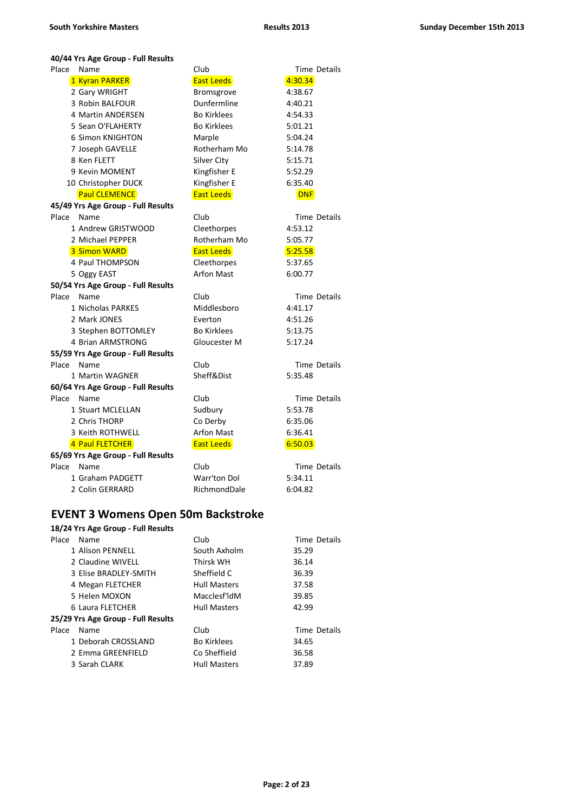#### **40/44 Yrs Age Group - Full Results**

| Place | Name                               | Club               | <b>Time Details</b> |
|-------|------------------------------------|--------------------|---------------------|
|       | 1 Kyran PARKER                     | <b>East Leeds</b>  | 4:30.34             |
|       | 2 Gary WRIGHT                      | Bromsgrove         | 4:38.67             |
|       | 3 Robin BALFOUR                    | Dunfermline        | 4:40.21             |
|       | 4 Martin ANDERSEN                  | <b>Bo Kirklees</b> | 4:54.33             |
|       | 5 Sean O'FLAHERTY                  | <b>Bo Kirklees</b> | 5:01.21             |
|       | 6 Simon KNIGHTON                   | Marple             | 5:04.24             |
|       | 7 Joseph GAVELLE                   | Rotherham Mo       | 5:14.78             |
|       | 8 Ken FLETT                        | Silver City        | 5:15.71             |
|       | 9 Kevin MOMENT                     | Kingfisher E       | 5:52.29             |
|       | 10 Christopher DUCK                | Kingfisher E       | 6:35.40             |
|       | <b>Paul CLEMENCE</b>               | <b>East Leeds</b>  | <b>DNF</b>          |
|       | 45/49 Yrs Age Group - Full Results |                    |                     |
| Place | Name                               | Club               | <b>Time Details</b> |
|       | 1 Andrew GRISTWOOD                 | Cleethorpes        | 4:53.12             |
|       | 2 Michael PEPPER                   | Rotherham Mo       | 5:05.77             |
|       | 3 Simon WARD                       | <b>East Leeds</b>  | 5:25.58             |
|       | 4 Paul THOMPSON                    | Cleethorpes        | 5:37.65             |
|       | 5 Oggy EAST                        | <b>Arfon Mast</b>  | 6:00.77             |
|       | 50/54 Yrs Age Group - Full Results |                    |                     |
| Place | Name                               | Club               | <b>Time Details</b> |
|       | 1 Nicholas PARKES                  | Middlesboro        | 4:41.17             |
|       | 2 Mark JONES                       | Everton            | 4:51.26             |
|       | 3 Stephen BOTTOMLEY                | <b>Bo Kirklees</b> | 5:13.75             |
|       | 4 Brian ARMSTRONG                  | Gloucester M       | 5:17.24             |
|       | 55/59 Yrs Age Group - Full Results |                    |                     |
| Place | Name                               | Club               | <b>Time Details</b> |
|       | 1 Martin WAGNER                    | Sheff&Dist         | 5:35.48             |
|       | 60/64 Yrs Age Group - Full Results |                    |                     |
| Place | Name                               | Club               | <b>Time Details</b> |
|       | 1 Stuart MCLELLAN                  | Sudbury            | 5:53.78             |
|       | 2 Chris THORP                      | Co Derby           | 6:35.06             |
|       | 3 Keith ROTHWELL                   | <b>Arfon Mast</b>  | 6:36.41             |
|       | 4 Paul FLETCHER                    | <b>East Leeds</b>  | 6:50.03             |
|       | 65/69 Yrs Age Group - Full Results |                    |                     |
| Place | Name                               | Club               | Time Details        |
|       | 1 Graham PADGETT                   | Warr'ton Dol       | 5:34.11             |
|       | 2 Colin GERRARD                    | RichmondDale       | 6:04.82             |

### **EVENT 3 Womens Open 50m Backstroke**

| Place | Name                               | Club                | Time Details |
|-------|------------------------------------|---------------------|--------------|
|       | 1 Alison PFNNFLL                   | South Axholm        | 35.29        |
|       | 2 Claudine WIVELL                  | Thirsk WH           | 36.14        |
|       | 3 Elise BRADLEY-SMITH              | Sheffield C         | 36.39        |
|       | 4 Megan FLETCHER                   | <b>Hull Masters</b> | 37.58        |
|       | 5 Helen MOXON                      | Macclesf'ldM        | 39.85        |
|       | 6 Laura FLETCHER                   | <b>Hull Masters</b> | 42.99        |
|       | 25/29 Yrs Age Group - Full Results |                     |              |
| Place | Name                               | Club                | Time Details |
|       | 1 Deborah CROSSLAND                | <b>Bo Kirklees</b>  | 34.65        |
|       | 2 Emma GREENFIELD                  | Co Sheffield        | 36.58        |
|       | 3 Sarah CLARK                      | <b>Hull Masters</b> | 37.89        |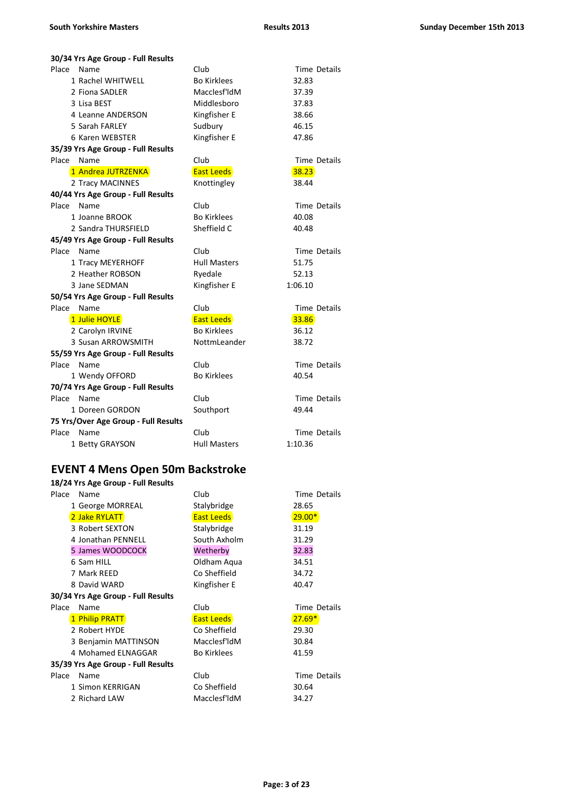| 30/34 Yrs Age Group - Full Results   |                     |                     |  |  |
|--------------------------------------|---------------------|---------------------|--|--|
| Place<br>Name                        | Club                | Time Details        |  |  |
| 1 Rachel WHITWELL                    | <b>Bo Kirklees</b>  | 32.83               |  |  |
| 2 Fiona SADLER                       | Macclesf'ldM        | 37.39               |  |  |
| 3 Lisa BEST                          | Middlesboro         | 37.83               |  |  |
| 4 Leanne ANDERSON                    | Kingfisher E        | 38.66               |  |  |
| 5 Sarah FARLEY                       | Sudbury             | 46.15               |  |  |
| 6 Karen WEBSTER                      | Kingfisher E        | 47.86               |  |  |
| 35/39 Yrs Age Group - Full Results   |                     |                     |  |  |
| Place Name                           | Club                | Time Details        |  |  |
| 1 Andrea JUTRZENKA                   | <b>East Leeds</b>   | 38.23               |  |  |
| 2 Tracy MACINNES                     | Knottingley         | 38.44               |  |  |
| 40/44 Yrs Age Group - Full Results   |                     |                     |  |  |
| Place<br>Name                        | Club                | Time Details        |  |  |
| 1 Joanne BROOK                       | <b>Bo Kirklees</b>  | 40.08               |  |  |
| 2 Sandra THURSFIELD                  | Sheffield C         | 40.48               |  |  |
| 45/49 Yrs Age Group - Full Results   |                     |                     |  |  |
| Place Name                           | Club                | Time Details        |  |  |
| 1 Tracy MEYERHOFF                    | <b>Hull Masters</b> | 51.75               |  |  |
| 2 Heather ROBSON                     | Ryedale             | 52.13               |  |  |
| 3 Jane SEDMAN                        | Kingfisher E        | 1:06.10             |  |  |
| 50/54 Yrs Age Group - Full Results   |                     |                     |  |  |
| Place<br>Name                        | Club                | Time Details        |  |  |
| 1 Julie HOYLE                        | <b>East Leeds</b>   | 33.86               |  |  |
| 2 Carolyn IRVINE                     | <b>Bo Kirklees</b>  | 36.12               |  |  |
| 3 Susan ARROWSMITH                   | NottmLeander        | 38.72               |  |  |
| 55/59 Yrs Age Group - Full Results   |                     |                     |  |  |
| Place Name                           | Club                | Time Details        |  |  |
| 1 Wendy OFFORD                       | <b>Bo Kirklees</b>  | 40.54               |  |  |
| 70/74 Yrs Age Group - Full Results   |                     |                     |  |  |
| Place Name                           | Club                | <b>Time Details</b> |  |  |
| 1 Doreen GORDON                      | Southport           | 49.44               |  |  |
| 75 Yrs/Over Age Group - Full Results |                     |                     |  |  |
| Place Name                           | Club                | <b>Time Details</b> |  |  |
| 1 Betty GRAYSON                      | <b>Hull Masters</b> | 1:10.36             |  |  |
|                                      |                     |                     |  |  |

# **EVENT 4 Mens Open 50m Backstroke**

|                                    | 18/24 Yrs Age Group - Full Results |                    |              |  |
|------------------------------------|------------------------------------|--------------------|--------------|--|
| Place                              | Name                               | Club               | Time Details |  |
|                                    | 1 George MORREAL                   | Stalybridge        | 28.65        |  |
|                                    | 2 Jake RYLATT                      | <b>East Leeds</b>  | $29.00*$     |  |
|                                    | 3 Robert SEXTON                    | Stalybridge        | 31.19        |  |
|                                    | 4 Jonathan PENNELL                 | South Axholm       | 31.29        |  |
|                                    | 5 James WOODCOCK                   | Wetherby           | 32.83        |  |
|                                    | 6 Sam HILL                         | Oldham Aqua        | 34.51        |  |
|                                    | 7 Mark REED                        | Co Sheffield       | 34.72        |  |
|                                    | 8 David WARD                       | Kingfisher E       | 40.47        |  |
| 30/34 Yrs Age Group - Full Results |                                    |                    |              |  |
| Place                              | Name                               | Club               | Time Details |  |
|                                    | 1 Philip PRATT                     | <b>East Leeds</b>  | $27.69*$     |  |
|                                    | 2 Robert HYDE                      | Co Sheffield       | 29.30        |  |
|                                    | 3 Benjamin MATTINSON               | Macclesf'ldM       | 30.84        |  |
|                                    | 4 Mohamed ELNAGGAR                 | <b>Bo Kirklees</b> | 41.59        |  |
|                                    | 35/39 Yrs Age Group - Full Results |                    |              |  |
| Place                              | Name                               | Club               | Time Details |  |
|                                    | 1 Simon KERRIGAN                   | Co Sheffield       | 30.64        |  |
|                                    | 2 Richard LAW                      | Macclesf'ldM       | 34.27        |  |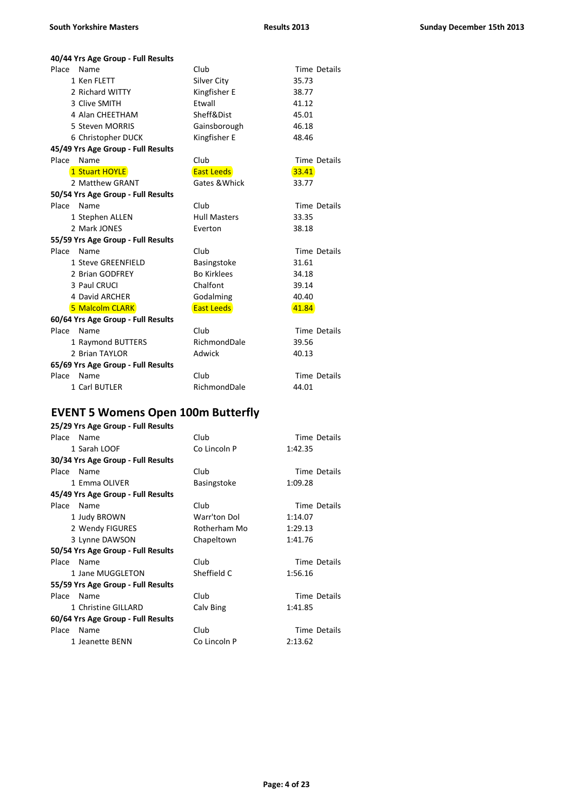| 40/44 Yrs Age Group - Full Results |                     |              |  |  |
|------------------------------------|---------------------|--------------|--|--|
| Place Name                         | Club                | Time Details |  |  |
| 1 Ken FLETT                        | Silver City         | 35.73        |  |  |
| 2 Richard WITTY                    | Kingfisher E        | 38.77        |  |  |
| 3 Clive SMITH                      | Ftwall              | 41.12        |  |  |
| 4 Alan CHEETHAM                    | Sheff&Dist          | 45.01        |  |  |
| 5 Steven MORRIS                    | Gainsborough        | 46.18        |  |  |
| 6 Christopher DUCK                 | Kingfisher E        | 48.46        |  |  |
| 45/49 Yrs Age Group - Full Results |                     |              |  |  |
| Name<br>Place                      | Club                | Time Details |  |  |
| 1 Stuart HOYLE                     | <b>East Leeds</b>   | 33.41        |  |  |
| 2 Matthew GRANT                    | Gates & Whick       | 33.77        |  |  |
| 50/54 Yrs Age Group - Full Results |                     |              |  |  |
| Place Name                         | Club                | Time Details |  |  |
| 1 Stephen ALLEN                    | <b>Hull Masters</b> | 33.35        |  |  |
| 2 Mark JONES                       | Everton             | 38.18        |  |  |
| 55/59 Yrs Age Group - Full Results |                     |              |  |  |
| Place Name                         | Club                | Time Details |  |  |
| 1 Steve GREENFIELD                 | Basingstoke         | 31.61        |  |  |
| 2 Brian GODFREY                    | <b>Bo Kirklees</b>  | 34.18        |  |  |
| 3 Paul CRUCI                       | Chalfont            | 39.14        |  |  |
| 4 David ARCHER                     | Godalming           | 40.40        |  |  |
| 5 Malcolm CLARK                    | <b>East Leeds</b>   | 41.84        |  |  |
| 60/64 Yrs Age Group - Full Results |                     |              |  |  |
| Place Name                         | Club                | Time Details |  |  |
| 1 Raymond BUTTERS                  | RichmondDale        | 39.56        |  |  |
| 2 Brian TAYLOR                     | Adwick              | 40.13        |  |  |
| 65/69 Yrs Age Group - Full Results |                     |              |  |  |
| Place Name                         | Club                | Time Details |  |  |
| 1 Carl BUTLER                      | RichmondDale        | 44.01        |  |  |

### **EVENT 5 Womens Open 100m Butterfly**

| 25/29 Yrs Age Group - Full Results |              |              |
|------------------------------------|--------------|--------------|
| Place<br>Name                      | Club         | Time Details |
| 1 Sarah LOOF                       | Co Lincoln P | 1:42.35      |
| 30/34 Yrs Age Group - Full Results |              |              |
| Place<br>Name                      | Club         | Time Details |
| 1 Fmma OLIVER                      | Basingstoke  | 1:09.28      |
| 45/49 Yrs Age Group - Full Results |              |              |
| Place Name                         | Club         | Time Details |
| 1 Judy BROWN                       | Warr'ton Dol | 1:14.07      |
| 2 Wendy FIGURES                    | Rotherham Mo | 1:29.13      |
| 3 Lynne DAWSON                     | Chapeltown   | 1:41.76      |
| 50/54 Yrs Age Group - Full Results |              |              |
| Place<br>Name                      | Club         | Time Details |
| 1 Jane MUGGLETON                   | Sheffield C  | 1:56.16      |
| 55/59 Yrs Age Group - Full Results |              |              |
| Place Name                         | Club         | Time Details |
| 1 Christine GILLARD                | Calv Bing    | 1:41.85      |
| 60/64 Yrs Age Group - Full Results |              |              |
| Place<br>Name                      | Club         | Time Details |
| 1 Jeanette BENN                    | Co Lincoln P | 2:13.62      |
|                                    |              |              |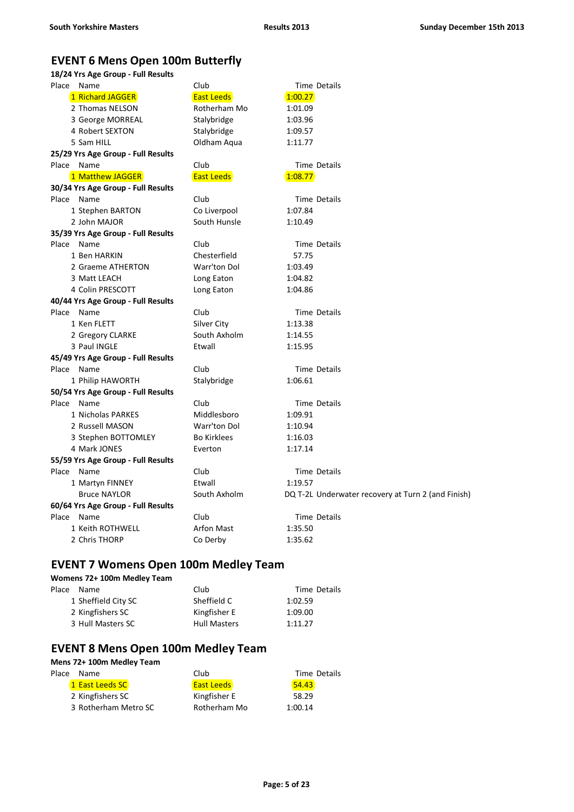## **EVENT 6 Mens Open 100m Butterfly**

| 18/24 Yrs Age Group - Full Results |
|------------------------------------|

| Place Name                         | Club               | <b>Time Details</b>                                |
|------------------------------------|--------------------|----------------------------------------------------|
| 1 Richard JAGGER                   | <b>East Leeds</b>  | 1:00.27                                            |
| 2 Thomas NELSON                    | Rotherham Mo       | 1:01.09                                            |
| 3 George MORREAL                   | Stalybridge        | 1:03.96                                            |
| 4 Robert SEXTON                    | Stalybridge        | 1:09.57                                            |
| 5 Sam HILL                         | Oldham Aqua        | 1:11.77                                            |
| 25/29 Yrs Age Group - Full Results |                    |                                                    |
| Place Name                         | Club               | Time Details                                       |
| 1 Matthew JAGGER                   | <b>East Leeds</b>  | 1:08.77                                            |
| 30/34 Yrs Age Group - Full Results |                    |                                                    |
| Place Name                         | Club               | <b>Time Details</b>                                |
| 1 Stephen BARTON                   | Co Liverpool       | 1:07.84                                            |
| 2 John MAJOR                       | South Hunsle       | 1:10.49                                            |
| 35/39 Yrs Age Group - Full Results |                    |                                                    |
| Place Name                         | Club               | Time Details                                       |
| 1 Ben HARKIN                       | Chesterfield       | 57.75                                              |
| 2 Graeme ATHERTON                  | Warr'ton Dol       | 1:03.49                                            |
| 3 Matt LEACH                       | Long Eaton         | 1:04.82                                            |
| 4 Colin PRESCOTT                   | Long Eaton         | 1:04.86                                            |
| 40/44 Yrs Age Group - Full Results |                    |                                                    |
| Place Name                         | Club               | Time Details                                       |
| 1 Ken FLETT                        | Silver City        | 1:13.38                                            |
| 2 Gregory CLARKE                   | South Axholm       | 1:14.55                                            |
| 3 Paul INGLE                       | Etwall             | 1:15.95                                            |
| 45/49 Yrs Age Group - Full Results |                    |                                                    |
| Place Name                         | Club               | <b>Time Details</b>                                |
| 1 Philip HAWORTH                   | Stalybridge        | 1:06.61                                            |
| 50/54 Yrs Age Group - Full Results |                    |                                                    |
| Place Name                         | Club               | Time Details                                       |
| 1 Nicholas PARKES                  | Middlesboro        | 1:09.91                                            |
| 2 Russell MASON                    | Warr'ton Dol       | 1:10.94                                            |
| 3 Stephen BOTTOMLEY                | <b>Bo Kirklees</b> | 1:16.03                                            |
| 4 Mark JONES                       | Everton            | 1:17.14                                            |
| 55/59 Yrs Age Group - Full Results |                    |                                                    |
| Place Name                         | Club               | <b>Time Details</b>                                |
| 1 Martyn FINNEY                    | Etwall             | 1:19.57                                            |
| <b>Bruce NAYLOR</b>                | South Axholm       | DQ T-2L Underwater recovery at Turn 2 (and Finish) |
| 60/64 Yrs Age Group - Full Results |                    |                                                    |
| Place Name                         | Club               | <b>Time Details</b>                                |
| 1 Keith ROTHWELL                   | <b>Arfon Mast</b>  | 1:35.50                                            |
| 2 Chris THORP                      | Co Derby           | 1:35.62                                            |

### **EVENT 7 Womens Open 100m Medley Team**

#### **Womens 72+ 100m Medley Team**

| Place Name          | Club                | Time Details |
|---------------------|---------------------|--------------|
| 1 Sheffield City SC | Sheffield C         | 1:02.59      |
| 2 Kingfishers SC    | Kingfisher E        | 1:09.00      |
| 3 Hull Masters SC   | <b>Hull Masters</b> | 1:11.27      |

## **EVENT 8 Mens Open 100m Medley Team**

#### **Mens 72+ 100m Medley Team**

| Place | Name                 | Club              | Time Details |
|-------|----------------------|-------------------|--------------|
|       | 1 East Leeds SC      | <b>East Leeds</b> | 54.43        |
|       | 2 Kingfishers SC     | Kingfisher E      | 58.29        |
|       | 3 Rotherham Metro SC | Rotherham Mo      | 1:00.14      |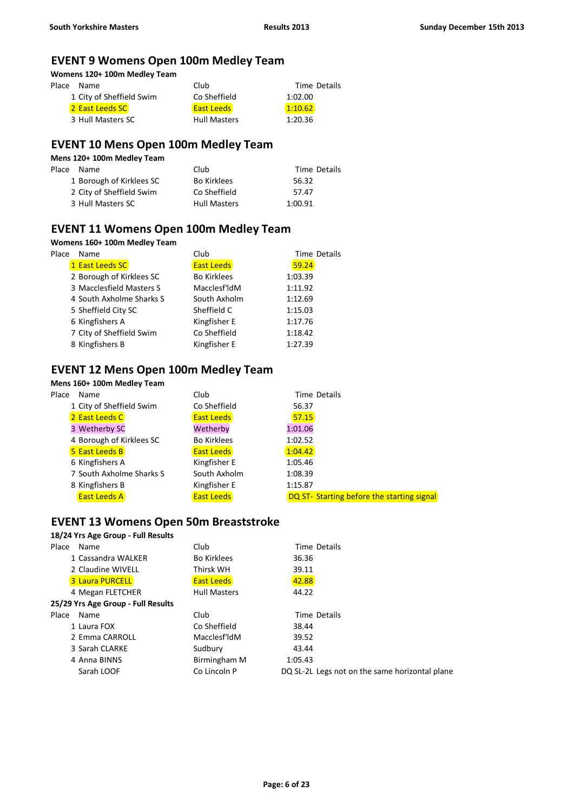### **EVENT 9 Womens Open 100m Medley Team**

**Womens 120+ 100m Medley Team**

| Place | Name                     | Club                | Time Details |
|-------|--------------------------|---------------------|--------------|
|       | 1 City of Sheffield Swim | Co Sheffield        | 1:02.00      |
|       | 2 East Leeds SC          | <b>East Leeds</b>   | 1:10.62      |
|       | 3 Hull Masters SC        | <b>Hull Masters</b> | 1:20.36      |

### **EVENT 10 Mens Open 100m Medley Team**

| Mens 120+ 100m Medley Team |                          |                     |              |  |
|----------------------------|--------------------------|---------------------|--------------|--|
| Place                      | Name                     | Club                | Time Details |  |
|                            | 1 Borough of Kirklees SC | <b>Bo Kirklees</b>  | 56.32        |  |
|                            | 2 City of Sheffield Swim | Co Sheffield        | 57.47        |  |
|                            | 3 Hull Masters SC        | <b>Hull Masters</b> | 1:00.91      |  |

### **EVENT 11 Womens Open 100m Medley Team**

#### **Womens 160+ 100m Medley Team**

| Place | <b>Name</b>              | Club               | Time Details |
|-------|--------------------------|--------------------|--------------|
|       | 1 East Leeds SC          | <b>East Leeds</b>  | 59.24        |
|       | 2 Borough of Kirklees SC | <b>Bo Kirklees</b> | 1:03.39      |
|       | 3 Macclesfield Masters S | Macclesf'ldM       | 1:11.92      |
|       | 4 South Axholme Sharks S | South Axholm       | 1:12.69      |
|       | 5 Sheffield City SC      | Sheffield C        | 1:15.03      |
|       | 6 Kingfishers A          | Kingfisher E       | 1:17.76      |
|       | 7 City of Sheffield Swim | Co Sheffield       | 1:18.42      |
|       | 8 Kingfishers B          | Kingfisher E       | 1:27.39      |

### **EVENT 12 Mens Open 100m Medley Team**

# **Mens 160+ 100m Medley Team**

| Place | Name                     | Club               | Time Details                               |  |
|-------|--------------------------|--------------------|--------------------------------------------|--|
|       | 1 City of Sheffield Swim | Co Sheffield       | 56.37                                      |  |
|       | 2 East Leeds C           | <b>East Leeds</b>  | 57.15                                      |  |
|       | 3 Wetherby SC            | Wetherby           | 1:01.06                                    |  |
|       | 4 Borough of Kirklees SC | <b>Bo Kirklees</b> | 1:02.52                                    |  |
|       | 5 East Leeds B           | <b>East Leeds</b>  | 1:04.42                                    |  |
|       | 6 Kingfishers A          | Kingfisher E       | 1:05.46                                    |  |
|       | 7 South Axholme Sharks S | South Axholm       | 1:08.39                                    |  |
|       | 8 Kingfishers B          | Kingfisher E       | 1:15.87                                    |  |
|       | <b>East Leeds A</b>      | <b>East Leeds</b>  | DQ ST- Starting before the starting signal |  |
|       |                          |                    |                                            |  |

#### **EVENT 13 Womens Open 50m Breaststroke**

| Place | Name                               | Club                      | Time Details                                   |
|-------|------------------------------------|---------------------------|------------------------------------------------|
|       | 1 Cassandra WALKER                 | <b>Bo Kirklees</b>        | 36.36                                          |
|       | 2 Claudine WIVELL                  | Thirsk WH                 | 39.11                                          |
|       | <b>3 Laura PURCELL</b>             | <b>East Leeds</b>         | 42.88                                          |
|       | 4 Megan FLETCHER                   | <b>Hull Masters</b>       | 44.22                                          |
|       | 25/29 Yrs Age Group - Full Results |                           |                                                |
| Place | Name                               | Club                      | Time Details                                   |
|       | 1 Laura FOX                        | Co Sheffield              | 38.44                                          |
|       | 2 Emma CARROLL                     | Macclesf <sup>'</sup> ldM | 39.52                                          |
|       | 3 Sarah CLARKE                     | Sudbury                   | 43.44                                          |
|       | 4 Anna BINNS                       | Birmingham M              | 1:05.43                                        |
|       | Sarah LOOF                         | Co Lincoln P              | DQ SL-2L Legs not on the same horizontal plane |
|       |                                    |                           |                                                |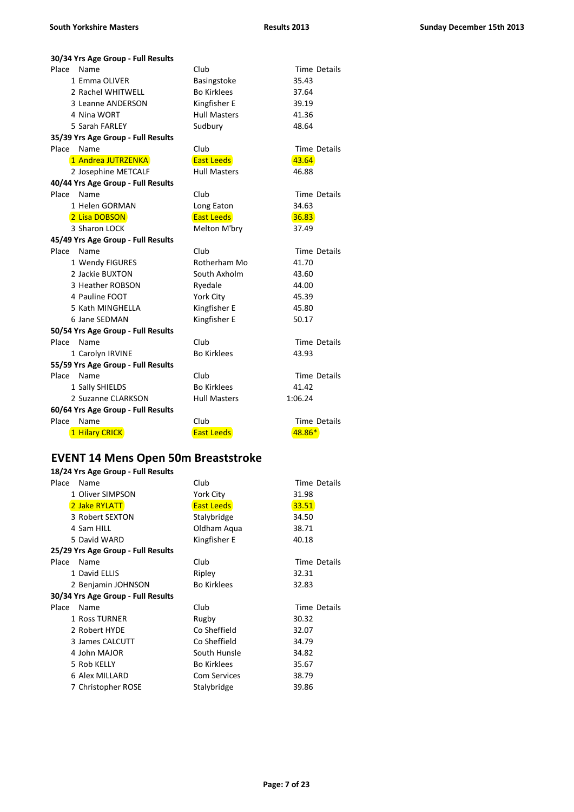| 30/34 Yrs Age Group - Full Results |                     |                     |  |  |
|------------------------------------|---------------------|---------------------|--|--|
| Place<br>Name                      | Club                | Time Details        |  |  |
| 1 Emma OLIVER                      | Basingstoke         | 35.43               |  |  |
| 2 Rachel WHITWELL                  | <b>Bo Kirklees</b>  | 37.64               |  |  |
| 3 Leanne ANDERSON                  | Kingfisher E        | 39.19               |  |  |
| 4 Nina WORT                        | <b>Hull Masters</b> | 41.36               |  |  |
| 5 Sarah FARLEY                     | Sudbury             | 48.64               |  |  |
| 35/39 Yrs Age Group - Full Results |                     |                     |  |  |
| Place<br>Name                      | Club                | <b>Time Details</b> |  |  |
| 1 Andrea JUTRZENKA                 | <b>East Leeds</b>   | 43.64               |  |  |
| 2 Josephine METCALF                | <b>Hull Masters</b> | 46.88               |  |  |
| 40/44 Yrs Age Group - Full Results |                     |                     |  |  |
| Place<br>Name                      | Club                | Time Details        |  |  |
| 1 Helen GORMAN                     | Long Eaton          | 34.63               |  |  |
| 2 Lisa DOBSON                      | <b>East Leeds</b>   | 36.83               |  |  |
| 3 Sharon LOCK                      | Melton M'bry        | 37.49               |  |  |
| 45/49 Yrs Age Group - Full Results |                     |                     |  |  |
| Place<br>Name                      | Club                | Time Details        |  |  |
| 1 Wendy FIGURES                    | Rotherham Mo        | 41.70               |  |  |
| 2 Jackie BUXTON                    | South Axholm        | 43.60               |  |  |
| 3 Heather ROBSON                   | Ryedale             | 44.00               |  |  |
| 4 Pauline FOOT                     | York City           | 45.39               |  |  |
| 5 Kath MINGHELLA                   | Kingfisher E        | 45.80               |  |  |
| 6 Jane SEDMAN                      | Kingfisher E        | 50.17               |  |  |
| 50/54 Yrs Age Group - Full Results |                     |                     |  |  |
| Place<br>Name                      | Club                | Time Details        |  |  |
| 1 Carolyn IRVINE                   | <b>Bo Kirklees</b>  | 43.93               |  |  |
| 55/59 Yrs Age Group - Full Results |                     |                     |  |  |
| Place<br>Name                      | Club                | Time Details        |  |  |
| 1 Sally SHIELDS                    | <b>Bo Kirklees</b>  | 41.42               |  |  |
| 2 Suzanne CLARKSON                 | <b>Hull Masters</b> | 1:06.24             |  |  |
| 60/64 Yrs Age Group - Full Results |                     |                     |  |  |
| Place<br>Name                      | Club                | <b>Time Details</b> |  |  |
| 1 Hilary CRICK                     | <b>East Leeds</b>   | 48.86*              |  |  |

#### **EVENT 14 Mens Open 50m Breaststroke**

|       | 18/24 Yrs Age Group - Full Results |                     |              |  |  |
|-------|------------------------------------|---------------------|--------------|--|--|
| Place | Name                               | Club                | Time Details |  |  |
|       | 1 Oliver SIMPSON                   | York City           | 31.98        |  |  |
|       | 2 Jake RYLATT                      | <b>East Leeds</b>   | 33.51        |  |  |
|       | 3 Robert SEXTON                    | Stalybridge         | 34.50        |  |  |
|       | 4 Sam HILL                         | Oldham Aqua         | 38.71        |  |  |
|       | 5 David WARD                       | Kingfisher E        | 40.18        |  |  |
|       | 25/29 Yrs Age Group - Full Results |                     |              |  |  |
| Place | Name                               | Club                | Time Details |  |  |
|       | 1 David ELLIS                      | Ripley              | 32.31        |  |  |
|       | 2 Benjamin JOHNSON                 | <b>Bo Kirklees</b>  | 32.83        |  |  |
|       | 30/34 Yrs Age Group - Full Results |                     |              |  |  |
| Place | Name                               | Club                | Time Details |  |  |
|       | 1 Ross TURNER                      | Rugby               | 30.32        |  |  |
|       | 2 Robert HYDE                      | Co Sheffield        | 32.07        |  |  |
|       | 3 James CALCUTT                    | Co Sheffield        | 34.79        |  |  |
|       | 4 John MAJOR                       | South Hunsle        | 34.82        |  |  |
|       | 5 Rob KELLY                        | <b>Bo Kirklees</b>  | 35.67        |  |  |
|       | 6 Alex MILLARD                     | <b>Com Services</b> | 38.79        |  |  |
|       | 7 Christopher ROSE                 | Stalybridge         | 39.86        |  |  |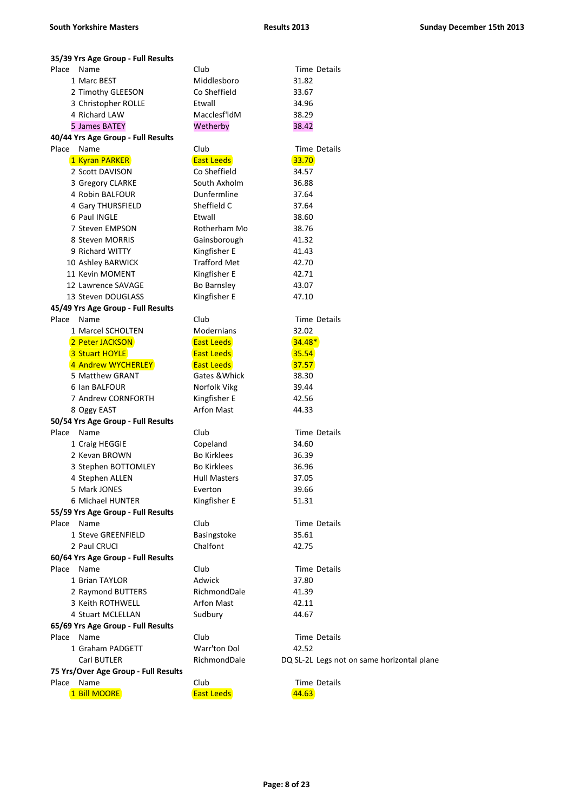| 35/39 Yrs Age Group - Full Results   |                     |                                            |
|--------------------------------------|---------------------|--------------------------------------------|
| Place Name                           | Club                | Time Details                               |
| 1 Marc BEST                          | Middlesboro         | 31.82                                      |
| 2 Timothy GLEESON                    | Co Sheffield        | 33.67                                      |
| 3 Christopher ROLLE                  | Etwall              | 34.96                                      |
| 4 Richard LAW                        | Macclesf'ldM        | 38.29                                      |
| 5 James BATEY                        | Wetherby            | 38.42                                      |
| 40/44 Yrs Age Group - Full Results   |                     |                                            |
| Place Name                           | Club                | <b>Time Details</b>                        |
| 1 Kyran PARKER                       | <b>East Leeds</b>   | 33.70                                      |
| 2 Scott DAVISON                      | Co Sheffield        | 34.57                                      |
| 3 Gregory CLARKE                     | South Axholm        | 36.88                                      |
| 4 Robin BALFOUR                      | Dunfermline         | 37.64                                      |
| 4 Gary THURSFIELD                    | Sheffield C         | 37.64                                      |
| 6 Paul INGLE                         | Etwall              | 38.60                                      |
| 7 Steven EMPSON                      | Rotherham Mo        | 38.76                                      |
| 8 Steven MORRIS                      | Gainsborough        | 41.32                                      |
| 9 Richard WITTY                      | Kingfisher E        | 41.43                                      |
| 10 Ashley BARWICK                    | <b>Trafford Met</b> | 42.70                                      |
| 11 Kevin MOMENT                      | Kingfisher E        | 42.71                                      |
| 12 Lawrence SAVAGE                   | <b>Bo Barnsley</b>  | 43.07                                      |
| 13 Steven DOUGLASS                   | Kingfisher E        | 47.10                                      |
| 45/49 Yrs Age Group - Full Results   |                     |                                            |
| Place<br>Name                        | Club                | Time Details                               |
| 1 Marcel SCHOLTEN                    | Modernians          | 32.02                                      |
| 2 Peter JACKSON                      | <b>East Leeds</b>   | $34.48*$                                   |
| 3 Stuart HOYLE                       | <b>East Leeds</b>   | 35.54                                      |
| 4 Andrew WYCHERLEY                   | <b>East Leeds</b>   | 37.57                                      |
| 5 Matthew GRANT                      | Gates & Whick       | 38.30                                      |
| 6 Ian BALFOUR                        | Norfolk Vikg        | 39.44                                      |
| 7 Andrew CORNFORTH                   | Kingfisher E        | 42.56                                      |
| 8 Oggy EAST                          | <b>Arfon Mast</b>   | 44.33                                      |
| 50/54 Yrs Age Group - Full Results   |                     |                                            |
| Place<br>Name                        | Club                | Time Details                               |
| 1 Craig HEGGIE                       | Copeland            | 34.60                                      |
| 2 Kevan BROWN                        | <b>Bo Kirklees</b>  |                                            |
|                                      | <b>Bo Kirklees</b>  | 36.39                                      |
| 3 Stephen BOTTOMLEY                  |                     | 36.96                                      |
| 4 Stephen ALLEN                      | <b>Hull Masters</b> | 37.05                                      |
| 5 Mark JONES                         | Everton             | 39.66                                      |
| 6 Michael HUNTER                     | Kingfisher E        | 51.31                                      |
| 55/59 Yrs Age Group - Full Results   |                     |                                            |
| Place Name                           | Club                | Time Details                               |
| 1 Steve GREENFIELD                   | Basingstoke         | 35.61                                      |
| 2 Paul CRUCI                         | Chalfont            | 42.75                                      |
| 60/64 Yrs Age Group - Full Results   |                     |                                            |
| Place Name                           | Club                | <b>Time Details</b>                        |
| 1 Brian TAYLOR                       | Adwick              | 37.80                                      |
| 2 Raymond BUTTERS                    | RichmondDale        | 41.39                                      |
| 3 Keith ROTHWELL                     | Arfon Mast          | 42.11                                      |
| 4 Stuart MCLELLAN                    | Sudbury             | 44.67                                      |
| 65/69 Yrs Age Group - Full Results   |                     |                                            |
| Place Name                           | Club                | Time Details                               |
| 1 Graham PADGETT                     | Warr'ton Dol        | 42.52                                      |
| Carl BUTLER                          | RichmondDale        | DQ SL-2L Legs not on same horizontal plane |
| 75 Yrs/Over Age Group - Full Results |                     |                                            |
| Place<br>Name                        | Club                | Time Details                               |
| 1 Bill MOORE                         | <b>East Leeds</b>   | 44.63                                      |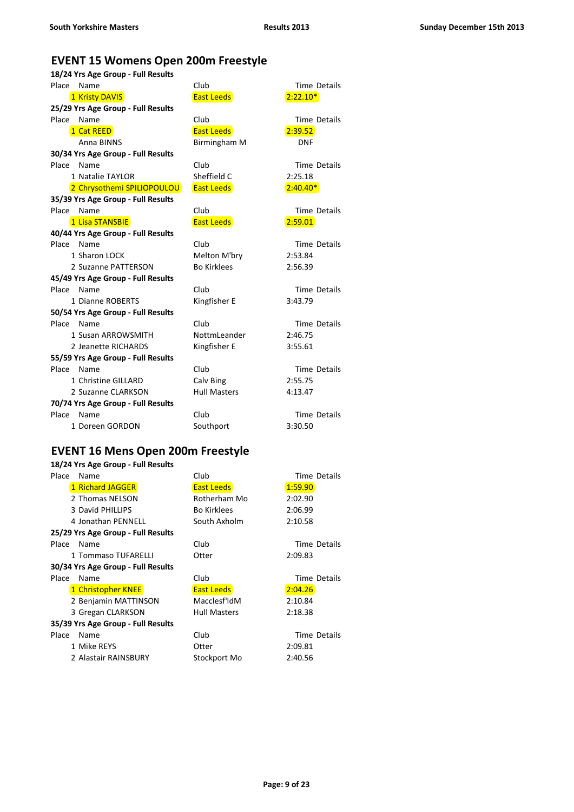## **EVENT 15 Womens Open 200m Freestyle**

| 18/24 Yrs Age Group - Full Results |                     |                     |  |
|------------------------------------|---------------------|---------------------|--|
| Place<br>Name                      | Club                | <b>Time Details</b> |  |
| 1 Kristy DAVIS                     | <b>East Leeds</b>   | $2:22.10*$          |  |
| 25/29 Yrs Age Group - Full Results |                     |                     |  |
| Place<br>Name                      | Club                | <b>Time Details</b> |  |
| 1 Cat REED                         | <b>East Leeds</b>   | 2:39.52             |  |
| Anna BINNS                         | Birmingham M        | <b>DNF</b>          |  |
| 30/34 Yrs Age Group - Full Results |                     |                     |  |
| Place<br>Name                      | Club                | Time Details        |  |
| 1 Natalie TAYLOR                   | Sheffield C         | 2:25.18             |  |
| 2 Chrysothemi SPILIOPOULOU         | <b>East Leeds</b>   | $2:40.40*$          |  |
| 35/39 Yrs Age Group - Full Results |                     |                     |  |
| Place<br>Name                      | Club                | <b>Time Details</b> |  |
| 1 Lisa STANSBIE                    | <b>East Leeds</b>   | 2:59.01             |  |
| 40/44 Yrs Age Group - Full Results |                     |                     |  |
| Place<br>Name                      | Club                | <b>Time Details</b> |  |
| 1 Sharon LOCK                      | Melton M'bry        | 2:53.84             |  |
| 2 Suzanne PATTERSON                | <b>Bo Kirklees</b>  | 2:56.39             |  |
| 45/49 Yrs Age Group - Full Results |                     |                     |  |
| Place Name                         | Club                | Time Details        |  |
| 1 Dianne ROBERTS                   | Kingfisher E        | 3:43.79             |  |
| 50/54 Yrs Age Group - Full Results |                     |                     |  |
| Place Name                         | Club                | Time Details        |  |
| 1 Susan ARROWSMITH                 | Nottml eander       | 2:46.75             |  |
| 2 Jeanette RICHARDS                | Kingfisher E        | 3:55.61             |  |
| 55/59 Yrs Age Group - Full Results |                     |                     |  |
| Place<br>Name                      | Club                | <b>Time Details</b> |  |
| 1 Christine GILLARD                | Calv Bing           | 2:55.75             |  |
| 2 Suzanne CLARKSON                 | <b>Hull Masters</b> | 4:13.47             |  |
| 70/74 Yrs Age Group - Full Results |                     |                     |  |
| Place<br>Name                      | Club                | Time Details        |  |
| 1 Doreen GORDON                    | Southport           | 3:30.50             |  |

## **EVENT 16 Mens Open 200m Freestyle**

| Place | Name                               | Club                | Time Details |
|-------|------------------------------------|---------------------|--------------|
|       | 1 Richard JAGGER                   | <b>East Leeds</b>   | 1:59.90      |
|       | 2 Thomas NELSON                    | Rotherham Mo        | 2:02.90      |
|       | 3 David PHILLIPS                   | <b>Bo Kirklees</b>  | 2:06.99      |
|       | 4 Jonathan PENNELL                 | South Axholm        | 2:10.58      |
|       | 25/29 Yrs Age Group - Full Results |                     |              |
| Place | Name                               | Club                | Time Details |
|       | 1 Tommaso TUFARELLI                | Otter               | 2:09.83      |
|       | 30/34 Yrs Age Group - Full Results |                     |              |
| Place | Name                               | Club                | Time Details |
|       | 1 Christopher KNEE                 | <b>East Leeds</b>   | 2:04.26      |
|       | 2 Benjamin MATTINSON               | Macclesf'ldM        | 2:10.84      |
|       | 3 Gregan CLARKSON                  | <b>Hull Masters</b> | 2:18.38      |
|       | 35/39 Yrs Age Group - Full Results |                     |              |
| Place | Name                               | Club                | Time Details |
|       | 1 Mike REYS                        | Otter               | 2:09.81      |
|       | 2 Alastair RAINSBURY               | Stockport Mo        | 2:40.56      |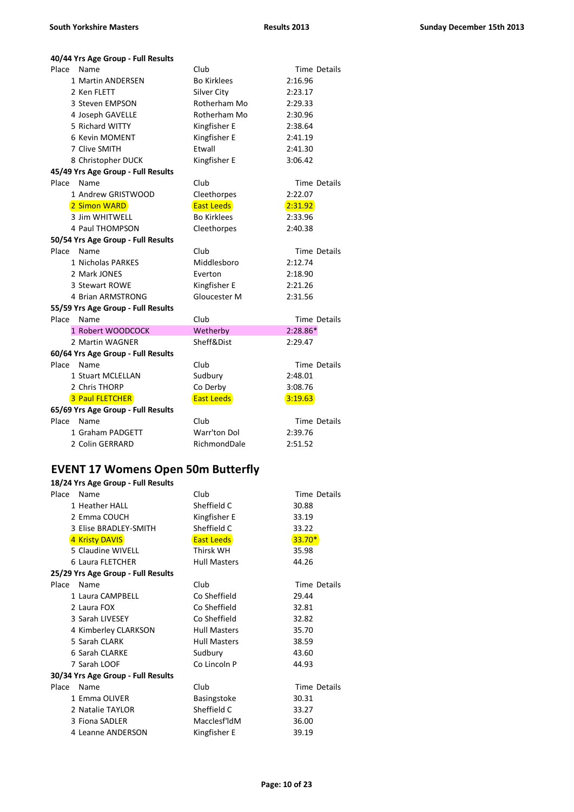| 40/44 Yrs Age Group - Full Results |                    |                     |  |  |
|------------------------------------|--------------------|---------------------|--|--|
| Place<br>Name                      | Club               | Time Details        |  |  |
| 1 Martin ANDERSEN                  | <b>Bo Kirklees</b> | 2:16.96             |  |  |
| 2 Ken FLETT                        | Silver City        | 2:23.17             |  |  |
| 3 Steven EMPSON                    | Rotherham Mo       | 2:29.33             |  |  |
| 4 Joseph GAVELLE                   | Rotherham Mo       | 2:30.96             |  |  |
| 5 Richard WITTY                    | Kingfisher E       | 2:38.64             |  |  |
| 6 Kevin MOMENT                     | Kingfisher E       | 2:41.19             |  |  |
| 7 Clive SMITH                      | Etwall             | 2:41.30             |  |  |
| 8 Christopher DUCK                 | Kingfisher E       | 3:06.42             |  |  |
| 45/49 Yrs Age Group - Full Results |                    |                     |  |  |
| Place<br>Name                      | Club               | <b>Time Details</b> |  |  |
| 1 Andrew GRISTWOOD                 | Cleethorpes        | 2:22.07             |  |  |
| 2 Simon WARD                       | <b>East Leeds</b>  | 2:31.92             |  |  |
| 3 Jim WHITWELL                     | <b>Bo Kirklees</b> | 2:33.96             |  |  |
| 4 Paul THOMPSON                    | Cleethorpes        | 2:40.38             |  |  |
| 50/54 Yrs Age Group - Full Results |                    |                     |  |  |
| Place<br>Name                      | Club               | <b>Time Details</b> |  |  |
| 1 Nicholas PARKES                  | Middlesboro        | 2:12.74             |  |  |
| 2 Mark JONES                       | Everton            | 2:18.90             |  |  |
| 3 Stewart ROWE                     | Kingfisher E       | 2:21.26             |  |  |
| 4 Brian ARMSTRONG                  | Gloucester M       | 2:31.56             |  |  |
| 55/59 Yrs Age Group - Full Results |                    |                     |  |  |
| Place<br>Name                      | Club               | <b>Time Details</b> |  |  |
| 1 Robert WOODCOCK                  | Wetherby           | $2:28.86*$          |  |  |
| 2 Martin WAGNER                    | Sheff&Dist         | 2:29.47             |  |  |
| 60/64 Yrs Age Group - Full Results |                    |                     |  |  |
| Place<br>Name                      | Club               | Time Details        |  |  |
| 1 Stuart MCLELLAN                  | Sudbury            | 2:48.01             |  |  |
| 2 Chris THORP                      | Co Derby           | 3:08.76             |  |  |
| 3 Paul FLETCHER                    | <b>East Leeds</b>  | 3:19.63             |  |  |
| 65/69 Yrs Age Group - Full Results |                    |                     |  |  |
| Place<br>Name                      | Club               | <b>Time Details</b> |  |  |
| 1 Graham PADGETT                   | Warr'ton Dol       | 2:39.76             |  |  |
| 2 Colin GERRARD                    | RichmondDale       | 2:51.52             |  |  |

### **EVENT 17 Womens Open 50m Butterfly**

| 18/24 Yrs Age Group - Full Results |                     |              |  |  |
|------------------------------------|---------------------|--------------|--|--|
| Name                               | Club                | Time Details |  |  |
| 1 Heather HALL                     | Sheffield C         | 30.88        |  |  |
| 2 Emma COUCH                       | Kingfisher E        | 33.19        |  |  |
| 3 Elise BRADLEY-SMITH              | Sheffield C         | 33.22        |  |  |
| 4 Kristy DAVIS                     | <b>East Leeds</b>   | $33.70*$     |  |  |
| 5 Claudine WIVELL                  | Thirsk WH           | 35.98        |  |  |
| 6 Laura FLETCHER                   | <b>Hull Masters</b> | 44.26        |  |  |
| 25/29 Yrs Age Group - Full Results |                     |              |  |  |
| Name                               | Club                | Time Details |  |  |
| 1 Laura CAMPBELL                   | Co Sheffield        | 29.44        |  |  |
| 2 Laura FOX                        | Co Sheffield        | 32.81        |  |  |
| 3 Sarah LIVESEY                    | Co Sheffield        | 32.82        |  |  |
| 4 Kimberley CLARKSON               | <b>Hull Masters</b> | 35.70        |  |  |
| 5 Sarah CLARK                      | <b>Hull Masters</b> | 38.59        |  |  |
| 6 Sarah CLARKE                     | Sudbury             | 43.60        |  |  |
| 7 Sarah LOOF                       | Co Lincoln P        | 44.93        |  |  |
| 30/34 Yrs Age Group - Full Results |                     |              |  |  |
| Name                               | Club                | Time Details |  |  |
| 1 Emma OLIVER                      | Basingstoke         | 30.31        |  |  |
| 2 Natalie TAYLOR                   | Sheffield C         | 33.27        |  |  |
| 3 Fiona SADLER                     | Macclesf'ldM        | 36.00        |  |  |
| 4 Leanne ANDERSON                  | Kingfisher E        | 39.19        |  |  |
|                                    |                     |              |  |  |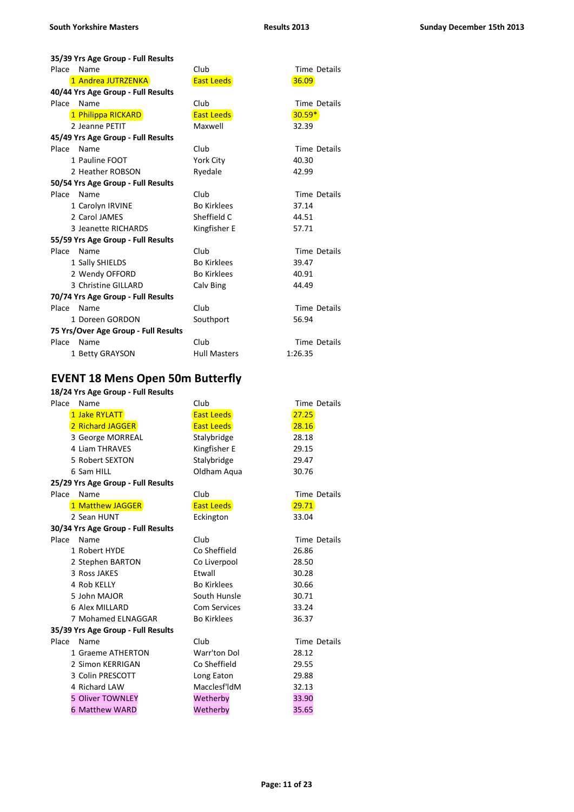| 35/39 Yrs Age Group - Full Results   |                     |                     |  |  |
|--------------------------------------|---------------------|---------------------|--|--|
| Place<br>Name                        | Club                | Time Details        |  |  |
| 1 Andrea JUTRZENKA                   | <b>East Leeds</b>   | 36.09               |  |  |
| 40/44 Yrs Age Group - Full Results   |                     |                     |  |  |
| Place<br>Name                        | Club                | <b>Time Details</b> |  |  |
| 1 Philippa RICKARD                   | <b>East Leeds</b>   | $30.59*$            |  |  |
| 2 Jeanne PETIT                       | Maxwell             | 32.39               |  |  |
| 45/49 Yrs Age Group - Full Results   |                     |                     |  |  |
| Place<br>Name                        | Club                | <b>Time Details</b> |  |  |
| 1 Pauline FOOT                       | York City           | 40.30               |  |  |
| 2 Heather ROBSON                     | Ryedale             | 42.99               |  |  |
| 50/54 Yrs Age Group - Full Results   |                     |                     |  |  |
| Place<br>Name                        | Club                | <b>Time Details</b> |  |  |
| 1 Carolyn IRVINE                     | <b>Bo Kirklees</b>  | 37.14               |  |  |
| 2 Carol JAMES                        | Sheffield C         | 44.51               |  |  |
| 3 Jeanette RICHARDS                  | Kingfisher E        | 57.71               |  |  |
| 55/59 Yrs Age Group - Full Results   |                     |                     |  |  |
| Place<br>Name                        | Club                | <b>Time Details</b> |  |  |
| 1 Sally SHIELDS                      | <b>Bo Kirklees</b>  | 39.47               |  |  |
| 2 Wendy OFFORD                       | <b>Bo Kirklees</b>  | 40.91               |  |  |
| 3 Christine GILLARD                  | Calv Bing           | 44.49               |  |  |
| 70/74 Yrs Age Group - Full Results   |                     |                     |  |  |
| Place<br>Name                        | Club                | <b>Time Details</b> |  |  |
| 1 Doreen GORDON                      | Southport           | 56.94               |  |  |
| 75 Yrs/Over Age Group - Full Results |                     |                     |  |  |
| Place<br>Name                        | Club                | <b>Time Details</b> |  |  |
| 1 Betty GRAYSON                      | <b>Hull Masters</b> | 1:26.35             |  |  |

# **EVENT 18 Mens Open 50m Butterfly**

| Place | Name                               | Club                | <b>Time Details</b> |
|-------|------------------------------------|---------------------|---------------------|
|       | 1 Jake RYLATT                      | <b>East Leeds</b>   | 27.25               |
|       | 2 Richard JAGGER                   | <b>East Leeds</b>   | 28.16               |
|       | 3 George MORREAL                   | Stalybridge         | 28.18               |
|       | 4 Liam THRAVES                     | Kingfisher E        | 29.15               |
|       | 5 Robert SEXTON                    | Stalybridge         | 29.47               |
|       | 6 Sam HILL                         | Oldham Aqua         | 30.76               |
|       | 25/29 Yrs Age Group - Full Results |                     |                     |
| Place | Name                               | Club                | Time Details        |
|       | 1 Matthew JAGGER                   | <b>East Leeds</b>   | 29.71               |
|       | 2 Sean HUNT                        | Eckington           | 33.04               |
|       | 30/34 Yrs Age Group - Full Results |                     |                     |
| Place | Name                               | Club                | Time Details        |
|       | 1 Robert HYDE                      | Co Sheffield        | 26.86               |
|       | 2 Stephen BARTON                   | Co Liverpool        | 28.50               |
|       | 3 Ross JAKES                       | Etwall              | 30.28               |
|       | 4 Rob KELLY                        | <b>Bo Kirklees</b>  | 30.66               |
|       | 5 John MAJOR                       | South Hunsle        | 30.71               |
|       | 6 Alex MILLARD                     | <b>Com Services</b> | 33.24               |
|       | 7 Mohamed ELNAGGAR                 | <b>Bo Kirklees</b>  | 36.37               |
|       | 35/39 Yrs Age Group - Full Results |                     |                     |
| Place | Name                               | Club                | <b>Time Details</b> |
|       | 1 Graeme ATHERTON                  | Warr'ton Dol        | 28.12               |
|       | 2 Simon KERRIGAN                   | Co Sheffield        | 29.55               |
|       | 3 Colin PRESCOTT                   | Long Eaton          | 29.88               |
|       | 4 Richard LAW                      | Macclesf'ldM        | 32.13               |
|       | 5 Oliver TOWNLEY                   | Wetherby            | 33.90               |
|       | <b>6 Matthew WARD</b>              | Wetherby            | 35.65               |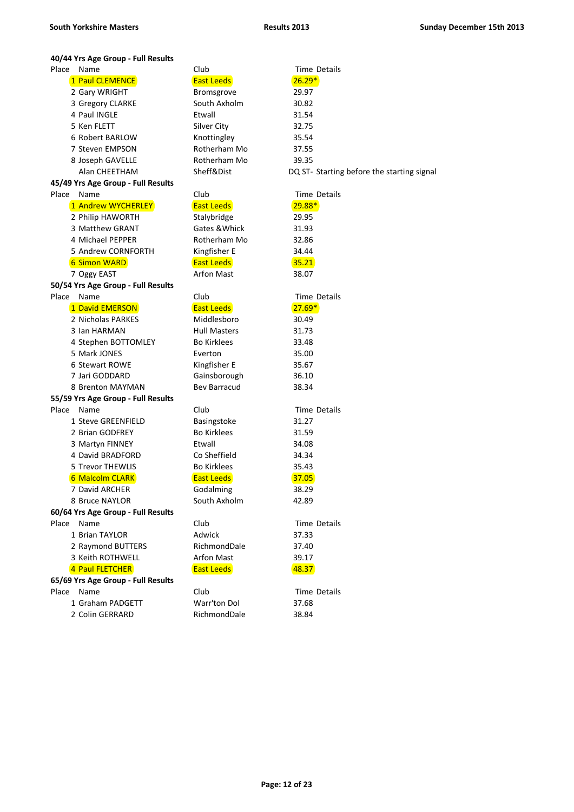#### **40/44 Yrs Age Group - Full Results** Place Name Club Club Time Details 1 Paul CLEMENCE **East Leeds East Leeds 26.29**\* 2 Gary WRIGHT Bromsgrove 29.97 3 Gregory CLARKE South Axholm 30.82 4 Paul INGLE Etwall **Etwall** 31.54 5 Ken FLETT Silver City 32.75 6 Robert BARLOW Knottingley 35.54 7 Steven EMPSON Rotherham Mo 37.55 8 Joseph GAVELLE Rotherham Mo 39.35 Alan CHEETHAM Sheff&Dist DQ ST- Starting before the starting signal **45/49 Yrs Age Group - Full Results** Place Name Club Club Time Details 1 Andrew WYCHERLEY **East Leeds East Leeds** 29.88\* 2 Philip HAWORTH Stalybridge 29.95 3 Matthew GRANT Gates &Whick 31.93 4 Michael PEPPER Rotherham Mo 32.86 5 Andrew CORNFORTH Kingfisher E 34.44 **6 Simon WARD East Leeds 195.21** 7 Oggy EAST Arfon Mast 38.07 **50/54 Yrs Age Group - Full Results** Place Name Club Club Time Details 1 David EMERSON **East Leeds East Leeds** 27.69\* 2 Nicholas PARKES Middlesboro 30.49 3 Ian HARMAN **Hull Masters** 31.73 4 Stephen BOTTOMLEY Bo Kirklees 33.48 5 Mark JONES Everton 35.00 6 Stewart ROWE Kingfisher E 35.67 7 Jari GODDARD Gainsborough 36.10 8 Brenton MAYMAN Bev Barracud 38.34 **55/59 Yrs Age Group - Full Results** Place Name Club Club Time Details 1 Steve GREENFIELD Basingstoke 31.27 2 Brian GODFREY Bo Kirklees 31.59 3 Martyn FINNEY **Etwall** 54.08 4 David BRADFORD Co Sheffield 34.34 5 Trevor THEWLIS Bo Kirklees 35.43 6 Malcolm CLARK **East Leeds East Leeds** 37.05 7 David ARCHER Godalming 38.29 8 Bruce NAYLOR South Axholm 42.89 **60/64 Yrs Age Group - Full Results** Place Name Club Club Time Details 1 Brian TAYLOR Adwick 37.33 2 Raymond BUTTERS RichmondDale 37.40 3 Keith ROTHWELL **Arfon Mast** 39.17

# **4 Paul FLETCHER East Leeds CONTER East Leeds East Leeds East Leeds East Leeds**

#### **65/69 Yrs Age Group - Full Results** Place Name Club Club Time Details

1 Graham PADGETT Warr'ton Dol 37.68

2 Colin GERRARD RichmondDale 38.84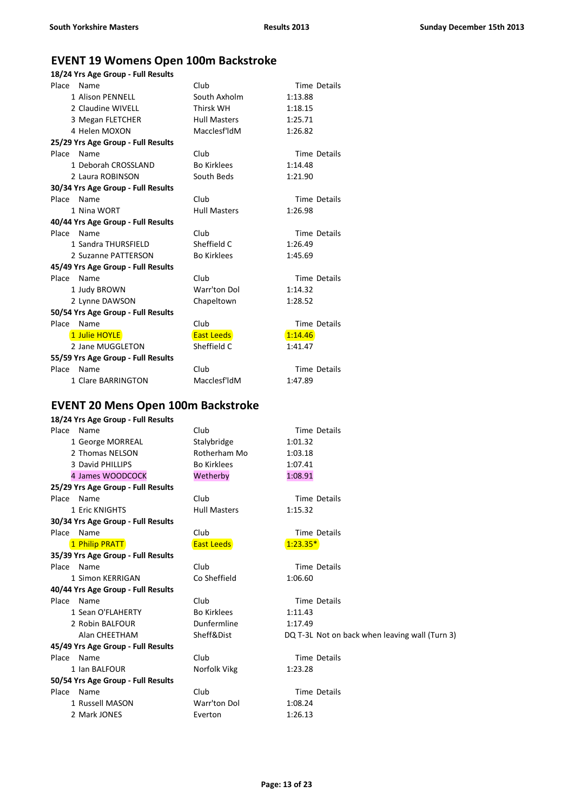# **EVENT 19 Womens Open 100m Backstroke**

| 18/24 Yrs Age Group - Full Results |                     |                     |  |  |
|------------------------------------|---------------------|---------------------|--|--|
| Place<br>Name                      | Club                | <b>Time Details</b> |  |  |
| 1 Alison PENNELL                   | South Axholm        | 1:13.88             |  |  |
| 2 Claudine WIVELL                  | Thirsk WH           | 1:18.15             |  |  |
| 3 Megan FLETCHER                   | <b>Hull Masters</b> | 1:25.71             |  |  |
| 4 Helen MOXON                      | Macclesf'ldM        | 1:26.82             |  |  |
| 25/29 Yrs Age Group - Full Results |                     |                     |  |  |
| Place<br>Name                      | Club                | <b>Time Details</b> |  |  |
| 1 Deborah CROSSLAND                | <b>Bo Kirklees</b>  | 1:14.48             |  |  |
| 2 Laura ROBINSON                   | South Beds          | 1:21.90             |  |  |
| 30/34 Yrs Age Group - Full Results |                     |                     |  |  |
| Place Name                         | Club                | <b>Time Details</b> |  |  |
| 1 Nina WORT                        | <b>Hull Masters</b> | 1:26.98             |  |  |
| 40/44 Yrs Age Group - Full Results |                     |                     |  |  |
| Place Name                         | Club                | <b>Time Details</b> |  |  |
| 1 Sandra THURSFIELD                | Sheffield C         | 1:26.49             |  |  |
| 2 Suzanne PATTERSON                | <b>Bo Kirklees</b>  | 1:45.69             |  |  |
| 45/49 Yrs Age Group - Full Results |                     |                     |  |  |
| Place Name                         | Club                | <b>Time Details</b> |  |  |
| 1 Judy BROWN                       | Warr'ton Dol        | 1:14.32             |  |  |
| 2 Lynne DAWSON                     | Chapeltown          | 1:28.52             |  |  |
| 50/54 Yrs Age Group - Full Results |                     |                     |  |  |
| Place<br>Name                      | Club                | <b>Time Details</b> |  |  |
| 1 Julie HOYLE                      | <b>East Leeds</b>   | 1:14.46             |  |  |
| 2 Jane MUGGLETON                   | Sheffield C         | 1:41.47             |  |  |
| 55/59 Yrs Age Group - Full Results |                     |                     |  |  |
| Place<br>Name                      | Club                | Time Details        |  |  |
| 1 Clare BARRINGTON                 | Macclesf'ldM        | 1:47.89             |  |  |

# **EVENT 20 Mens Open 100m Backstroke**

| 18/24 Yrs Age Group - Full Results |                     |                                                |
|------------------------------------|---------------------|------------------------------------------------|
| Place Name                         | Club                | Time Details                                   |
| 1 George MORREAL                   | Stalybridge         | 1:01.32                                        |
| 2 Thomas NELSON                    | Rotherham Mo        | 1:03.18                                        |
| 3 David PHILLIPS                   | <b>Bo Kirklees</b>  | 1:07.41                                        |
| 4 James WOODCOCK                   | Wetherby            | 1:08.91                                        |
| 25/29 Yrs Age Group - Full Results |                     |                                                |
| Place Name                         | Club                | <b>Time Details</b>                            |
| 1 Eric KNIGHTS                     | <b>Hull Masters</b> | 1:15.32                                        |
| 30/34 Yrs Age Group - Full Results |                     |                                                |
| Place Name                         | Club                | <b>Time Details</b>                            |
| 1 Philip PRATT                     | <b>East Leeds</b>   | $1:23.35*$                                     |
| 35/39 Yrs Age Group - Full Results |                     |                                                |
| Place Name                         | Club                | Time Details                                   |
| 1 Simon KERRIGAN                   | Co Sheffield        | 1:06.60                                        |
| 40/44 Yrs Age Group - Full Results |                     |                                                |
| Place Name                         | Club                | <b>Time Details</b>                            |
| 1 Sean O'FLAHERTY                  | <b>Bo Kirklees</b>  | 1:11.43                                        |
| 2 Robin BALFOUR                    | Dunfermline         | 1:17.49                                        |
| Alan CHEETHAM                      | Sheff&Dist          | DQ T-3L Not on back when leaving wall (Turn 3) |
| 45/49 Yrs Age Group - Full Results |                     |                                                |
| Place Name                         | Club                | <b>Time Details</b>                            |
| 1 Ian BALFOUR                      | Norfolk Vikg        | 1:23.28                                        |
| 50/54 Yrs Age Group - Full Results |                     |                                                |
| Place Name                         | Club                | <b>Time Details</b>                            |
| 1 Russell MASON                    | Warr'ton Dol        | 1:08.24                                        |
| 2 Mark JONES                       | Everton             | 1:26.13                                        |
|                                    |                     |                                                |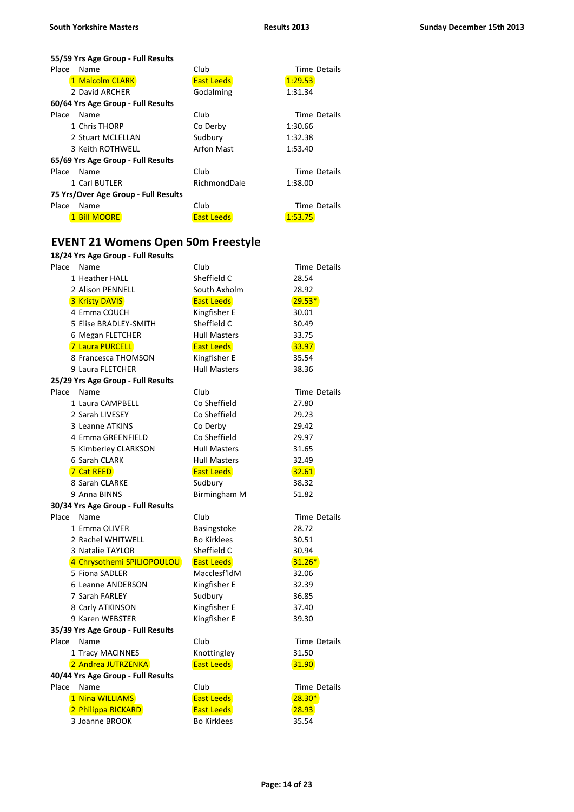**55/59 Yrs Age Group - Full Results**

| Place<br>Name                        | Club              | Time Details |
|--------------------------------------|-------------------|--------------|
| 1 Malcolm CLARK                      | <b>East Leeds</b> | 1:29.53      |
| 2 David ARCHER                       | Godalming         | 1:31.34      |
| 60/64 Yrs Age Group - Full Results   |                   |              |
| Place<br>Name                        | Club              | Time Details |
| 1 Chris THORP                        | Co Derby          | 1:30.66      |
| 2 Stuart MCLELLAN                    | Sudbury           | 1:32.38      |
| 3 Keith ROTHWELL                     | Arfon Mast        | 1:53.40      |
| 65/69 Yrs Age Group - Full Results   |                   |              |
| Place<br>Name                        | Club              | Time Details |
| 1 Carl BUTLER                        | RichmondDale      | 1:38.00      |
| 75 Yrs/Over Age Group - Full Results |                   |              |
| Place<br>Name                        | Club              | Time Details |
| 1 Bill MOORE                         | <b>East Leeds</b> | 1:53.75      |

# **EVENT 21 Womens Open 50m Freestyle**

|                                    | 18/24 Yrs Age Group - Full Results   |                                         |                     |  |
|------------------------------------|--------------------------------------|-----------------------------------------|---------------------|--|
| Place                              | Name                                 | Club                                    | <b>Time Details</b> |  |
|                                    | 1 Heather HALL                       | Sheffield C                             | 28.54               |  |
|                                    | 2 Alison PENNELL                     | South Axholm                            | 28.92               |  |
|                                    | <b>3 Kristy DAVIS</b>                | <b>East Leeds</b>                       | $29.53*$            |  |
|                                    | 4 Emma COUCH                         | Kingfisher E                            | 30.01               |  |
|                                    | 5 Elise BRADLEY-SMITH                | Sheffield C                             | 30.49               |  |
|                                    | 6 Megan FLETCHER                     | <b>Hull Masters</b>                     | 33.75               |  |
|                                    | 7 Laura PURCELL                      | <b>East Leeds</b>                       | 33.97               |  |
|                                    | 8 Francesca THOMSON                  | Kingfisher E                            | 35.54               |  |
|                                    | 9 Laura FLETCHER                     | <b>Hull Masters</b>                     | 38.36               |  |
|                                    | 25/29 Yrs Age Group - Full Results   |                                         |                     |  |
|                                    | Place Name                           | Club                                    | Time Details        |  |
|                                    | 1 Laura CAMPBELL                     | Co Sheffield                            | 27.80               |  |
|                                    | 2 Sarah LIVESEY                      | Co Sheffield                            | 29.23               |  |
|                                    | 3 Leanne ATKINS                      | Co Derby                                | 29.42               |  |
|                                    | 4 Emma GREENFIELD                    | Co Sheffield                            | 29.97               |  |
|                                    | 5 Kimberley CLARKSON                 | <b>Hull Masters</b>                     | 31.65               |  |
|                                    | 6 Sarah CLARK                        | <b>Hull Masters</b>                     | 32.49               |  |
|                                    | 7 Cat REED                           | <b>East Leeds</b>                       | 32.61               |  |
|                                    | 8 Sarah CLARKE                       | Sudbury                                 | 38.32               |  |
|                                    | 9 Anna BINNS                         | Birmingham M                            | 51.82               |  |
|                                    | 30/34 Yrs Age Group - Full Results   |                                         |                     |  |
| Place                              | Name                                 | Club                                    | <b>Time Details</b> |  |
|                                    | 1 Emma OLIVER                        | Basingstoke                             | 28.72               |  |
|                                    | 2 Rachel WHITWELL                    | <b>Bo Kirklees</b>                      | 30.51               |  |
|                                    | 3 Natalie TAYLOR                     | Sheffield C                             | 30.94               |  |
|                                    | 4 Chrysothemi SPILIOPOULOU           | <b>East Leeds</b>                       | $31.26*$            |  |
|                                    | 5 Fiona SADLER                       | Macclesf'ldM                            | 32.06               |  |
|                                    | 6 Leanne ANDERSON                    | Kingfisher E                            | 32.39               |  |
|                                    | 7 Sarah FARLEY                       | Sudbury                                 | 36.85               |  |
|                                    | 8 Carly ATKINSON                     | Kingfisher E                            | 37.40               |  |
|                                    | 9 Karen WEBSTER                      | Kingfisher E                            | 39.30               |  |
|                                    | 35/39 Yrs Age Group - Full Results   |                                         |                     |  |
|                                    | Place Name                           | Club                                    | Time Details        |  |
|                                    | 1 Tracy MACINNES                     | Knottingley                             | 31.50               |  |
|                                    | 2 Andrea JUTRZENKA                   | <b>East Leeds</b>                       | 31.90               |  |
| 40/44 Yrs Age Group - Full Results |                                      |                                         |                     |  |
|                                    |                                      |                                         |                     |  |
| Place                              | Name                                 | Club                                    | <b>Time Details</b> |  |
|                                    | 1 Nina WILLIAMS                      | <b>East Leeds</b>                       | $28.30*$            |  |
|                                    | 2 Philippa RICKARD<br>3 Joanne BROOK | <b>East Leeds</b><br><b>Bo Kirklees</b> | 28.93<br>35.54      |  |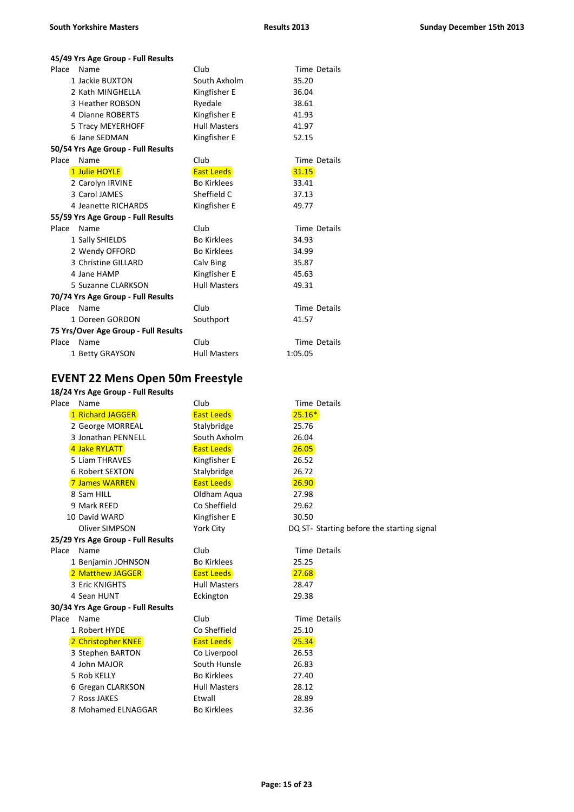#### **45/49 Yrs Age Group - Full Results**

| Place<br>Name                        | Club                | <b>Time Details</b> |
|--------------------------------------|---------------------|---------------------|
| 1 Jackie BUXTON                      | South Axholm        | 35.20               |
| 2 Kath MINGHELLA                     | Kingfisher E        | 36.04               |
| 3 Heather ROBSON                     | Ryedale             | 38.61               |
| 4 Dianne ROBERTS                     | Kingfisher E        | 41.93               |
| 5 Tracy MEYERHOFF                    | <b>Hull Masters</b> | 41.97               |
| 6 Jane SEDMAN                        | Kingfisher E        | 52.15               |
| 50/54 Yrs Age Group - Full Results   |                     |                     |
| Place<br>Name                        | Club                | Time Details        |
| 1 Julie HOYLE                        | <b>East Leeds</b>   | 31.15               |
| 2 Carolyn IRVINE                     | <b>Bo Kirklees</b>  | 33.41               |
| 3 Carol JAMES                        | Sheffield C         | 37.13               |
| 4 Jeanette RICHARDS                  | Kingfisher E        | 49.77               |
| 55/59 Yrs Age Group - Full Results   |                     |                     |
| Place<br>Name                        | Club                | Time Details        |
| 1 Sally SHIELDS                      | <b>Bo Kirklees</b>  | 34.93               |
| 2 Wendy OFFORD                       | <b>Bo Kirklees</b>  | 34.99               |
| 3 Christine GILLARD                  | Calv Bing           | 35.87               |
| 4 Jane HAMP                          | Kingfisher E        | 45.63               |
| 5 Suzanne CLARKSON                   | <b>Hull Masters</b> | 49.31               |
| 70/74 Yrs Age Group - Full Results   |                     |                     |
| Place<br>Name                        | Club                | <b>Time Details</b> |
| 1 Doreen GORDON                      | Southport           | 41.57               |
| 75 Yrs/Over Age Group - Full Results |                     |                     |
| Place<br>Name                        | Club                | <b>Time Details</b> |
| 1 Betty GRAYSON                      | <b>Hull Masters</b> | 1:05.05             |

# **EVENT 22 Mens Open 50m Freestyle**

| Place | Name                               | Club                | <b>Time Details</b>                        |
|-------|------------------------------------|---------------------|--------------------------------------------|
|       | 1 Richard JAGGER                   | <b>East Leeds</b>   | $25.16*$                                   |
|       | 2 George MORREAL                   | Stalybridge         | 25.76                                      |
|       | 3 Jonathan PENNELL                 | South Axholm        | 26.04                                      |
|       | 4 Jake RYLATT                      | <b>East Leeds</b>   | 26.05                                      |
|       | 5 Liam THRAVES                     | Kingfisher E        | 26.52                                      |
|       | 6 Robert SEXTON                    | Stalybridge         | 26.72                                      |
|       | <b>7 James WARREN</b>              | <b>East Leeds</b>   | 26.90                                      |
|       | 8 Sam HILL                         | Oldham Aqua         | 27.98                                      |
|       | 9 Mark REED                        | Co Sheffield        | 29.62                                      |
|       | 10 David WARD                      | Kingfisher E        | 30.50                                      |
|       | <b>Oliver SIMPSON</b>              | York City           | DQ ST- Starting before the starting signal |
|       | 25/29 Yrs Age Group - Full Results |                     |                                            |
| Place | Name                               | Club                | <b>Time Details</b>                        |
|       | 1 Benjamin JOHNSON                 | <b>Bo Kirklees</b>  | 25.25                                      |
|       | 2 Matthew JAGGER                   | <b>East Leeds</b>   | 27.68                                      |
|       | 3 Eric KNIGHTS                     | <b>Hull Masters</b> | 28.47                                      |
|       | 4 Sean HUNT                        | Eckington           | 29.38                                      |
|       | 30/34 Yrs Age Group - Full Results |                     |                                            |
| Place | Name                               | Club                | Time Details                               |
|       | 1 Robert HYDE                      | Co Sheffield        | 25.10                                      |
|       | 2 Christopher KNEE                 | <b>East Leeds</b>   | 25.34                                      |
|       | 3 Stephen BARTON                   | Co Liverpool        | 26.53                                      |
|       | 4 John MAJOR                       | South Hunsle        | 26.83                                      |
|       | 5 Rob KELLY                        | <b>Bo Kirklees</b>  | 27.40                                      |
|       | 6 Gregan CLARKSON                  | <b>Hull Masters</b> | 28.12                                      |
|       | 7 Ross JAKES                       | Etwall              | 28.89                                      |
|       | 8 Mohamed ELNAGGAR                 | <b>Bo Kirklees</b>  | 32.36                                      |
|       |                                    |                     |                                            |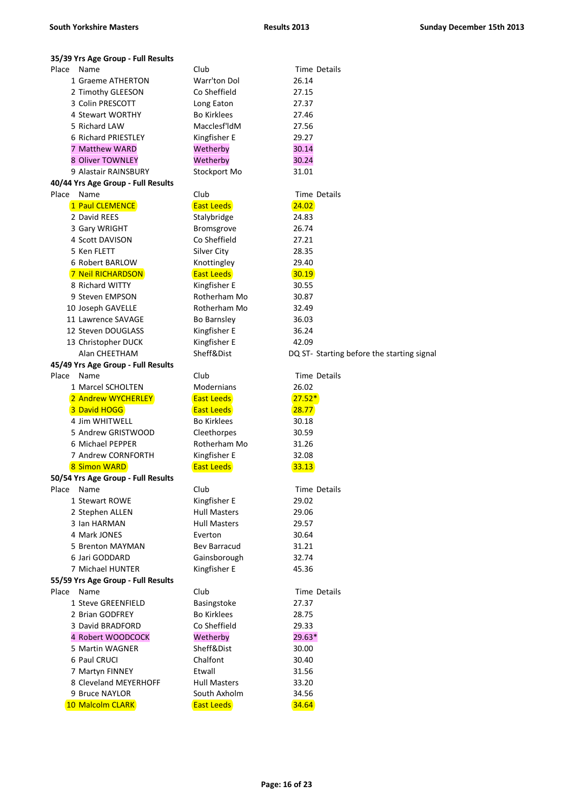| 35/39 Yrs Age Group - Full Results       |                                   |                                            |
|------------------------------------------|-----------------------------------|--------------------------------------------|
| Place<br>Name                            | Club                              | Time Details                               |
| 1 Graeme ATHERTON                        | Warr'ton Dol                      | 26.14                                      |
| 2 Timothy GLEESON                        | Co Sheffield                      | 27.15                                      |
| 3 Colin PRESCOTT                         | Long Eaton                        | 27.37                                      |
| 4 Stewart WORTHY                         | <b>Bo Kirklees</b>                | 27.46                                      |
| 5 Richard LAW                            | Macclesf'ldM                      | 27.56                                      |
| 6 Richard PRIESTLEY                      | Kingfisher E                      | 29.27                                      |
| 7 Matthew WARD                           | Wetherby                          | 30.14                                      |
| 8 Oliver TOWNLEY                         | Wetherby                          | 30.24                                      |
| 9 Alastair RAINSBURY                     | Stockport Mo                      | 31.01                                      |
| 40/44 Yrs Age Group - Full Results       |                                   |                                            |
| Place<br>Name                            | Club                              | Time Details                               |
| 1 Paul CLEMENCE                          | <b>East Leeds</b>                 | 24.02                                      |
| 2 David REES                             | Stalybridge                       | 24.83                                      |
| 3 Gary WRIGHT                            | Bromsgrove                        | 26.74                                      |
| 4 Scott DAVISON                          | Co Sheffield                      | 27.21                                      |
| 5 Ken FLETT                              | <b>Silver City</b>                | 28.35                                      |
| 6 Robert BARLOW                          | Knottingley                       | 29.40                                      |
| 7 Neil RICHARDSON                        | <b>East Leeds</b>                 | 30.19                                      |
| 8 Richard WITTY                          | Kingfisher E                      | 30.55                                      |
| 9 Steven EMPSON                          | Rotherham Mo                      | 30.87                                      |
| 10 Joseph GAVELLE                        | Rotherham Mo                      | 32.49                                      |
| 11 Lawrence SAVAGE                       | Bo Barnsley                       | 36.03                                      |
| 12 Steven DOUGLASS                       | Kingfisher E                      | 36.24                                      |
| 13 Christopher DUCK                      | Kingfisher E                      | 42.09                                      |
| Alan CHEETHAM                            | Sheff&Dist                        | DQ ST- Starting before the starting signal |
| 45/49 Yrs Age Group - Full Results       |                                   |                                            |
| Place<br>Name                            | Club                              | <b>Time Details</b>                        |
| 1 Marcel SCHOLTEN                        | Modernians                        | 26.02                                      |
| 2 Andrew WYCHERLEY                       | <b>East Leeds</b>                 | $27.52*$                                   |
| 3 David HOGG                             | <b>East Leeds</b>                 | 28.77                                      |
| 4 Jim WHITWELL                           | <b>Bo Kirklees</b>                | 30.18                                      |
| 5 Andrew GRISTWOOD                       | Cleethorpes                       | 30.59                                      |
| 6 Michael PEPPER                         | Rotherham Mo                      | 31.26                                      |
| 7 Andrew CORNFORTH                       | Kingfisher E                      | 32.08                                      |
| 8 Simon WARD                             | <b>East Leeds</b>                 | 33.13                                      |
| 50/54 Yrs Age Group - Full Results       |                                   |                                            |
| Place<br>Name                            | Club                              | <b>Time Details</b>                        |
| 1 Stewart ROWE                           | Kingfisher E                      | 29.02                                      |
| 2 Stephen ALLEN                          | <b>Hull Masters</b>               | 29.06                                      |
| 3 Ian HARMAN                             | <b>Hull Masters</b>               | 29.57                                      |
| 4 Mark JONES                             | Everton                           | 30.64                                      |
| 5 Brenton MAYMAN                         | Bev Barracud                      | 31.21                                      |
| 6 Jari GODDARD                           | Gainsborough                      | 32.74                                      |
| 7 Michael HUNTER                         | Kingfisher E                      | 45.36                                      |
| 55/59 Yrs Age Group - Full Results       |                                   |                                            |
| Place<br>Name<br>1 Steve GREENFIELD      | Club                              | Time Details<br>27.37                      |
| 2 Brian GODFREY                          | Basingstoke<br><b>Bo Kirklees</b> | 28.75                                      |
| 3 David BRADFORD                         | Co Sheffield                      | 29.33                                      |
|                                          |                                   |                                            |
| 4 Robert WOODCOCK<br>5 Martin WAGNER     | Wetherby<br>Sheff&Dist            | 29.63*<br>30.00                            |
| 6 Paul CRUCI                             | Chalfont                          | 30.40                                      |
|                                          | Etwall                            | 31.56                                      |
| 7 Martyn FINNEY<br>8 Cleveland MEYERHOFF | <b>Hull Masters</b>               | 33.20                                      |
| 9 Bruce NAYLOR                           | South Axholm                      | 34.56                                      |
| 10 Malcolm CLARK                         | <b>East Leeds</b>                 | 34.64                                      |
|                                          |                                   |                                            |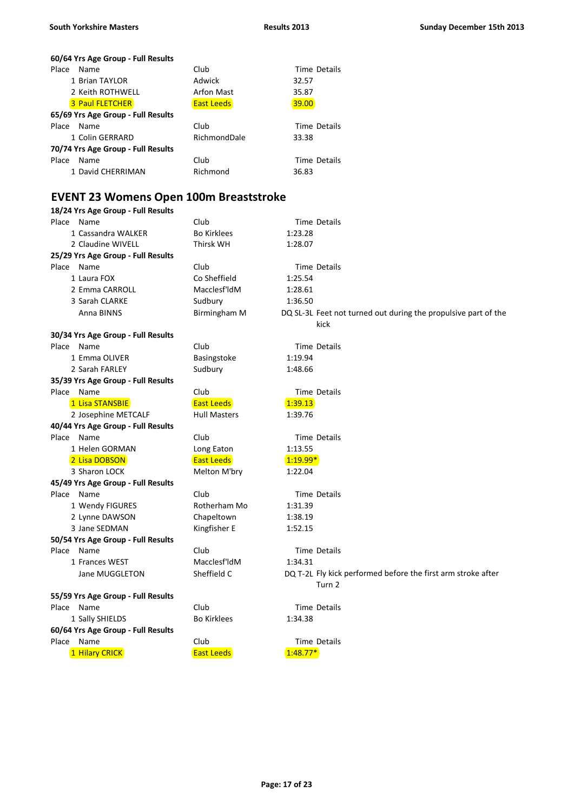#### **60/64 Yrs Age Group - Full Results** Place Name Club Club Time Details 1 Brian TAYLOR **Adwick** 32.57 2 Keith ROTHWELL **Arfon Mast** 35.87 3 Paul FLETCHER **East Leeds CONTACT EAST Leeds** 39.00 **65/69 Yrs Age Group - Full Results** Place Name Club Club Time Details 1 Colin GERRARD RichmondDale 33.38 **70/74 Yrs Age Group - Full Results** Place Name **Club** Club Time Details 1 David CHERRIMAN Richmond 36.83

### **EVENT 23 Womens Open 100m Breaststroke**

| 18/24 Yrs Age Group - Full Results |                     |                                                                |  |
|------------------------------------|---------------------|----------------------------------------------------------------|--|
| Place Name                         | Club                | Time Details                                                   |  |
| 1 Cassandra WALKER                 | <b>Bo Kirklees</b>  | 1:23.28                                                        |  |
| 2 Claudine WIVELL                  | Thirsk WH           | 1:28.07                                                        |  |
| 25/29 Yrs Age Group - Full Results |                     |                                                                |  |
| Place Name                         | Club                | Time Details                                                   |  |
| 1 Laura FOX                        | Co Sheffield        | 1:25.54                                                        |  |
| 2 Emma CARROLL                     | Macclesf'ldM        | 1:28.61                                                        |  |
| 3 Sarah CLARKE                     | Sudbury             | 1:36.50                                                        |  |
| Anna BINNS                         | Birmingham M        | DQ SL-3L Feet not turned out during the propulsive part of the |  |
|                                    |                     | kick                                                           |  |
| 30/34 Yrs Age Group - Full Results |                     |                                                                |  |
| Place Name                         | Club                | Time Details                                                   |  |
| 1 Emma OLIVER                      | Basingstoke         | 1:19.94                                                        |  |
| 2 Sarah FARLEY                     | Sudbury             | 1:48.66                                                        |  |
| 35/39 Yrs Age Group - Full Results |                     |                                                                |  |
| Place Name                         | Club                | Time Details                                                   |  |
| 1 Lisa STANSBIE                    | <b>East Leeds</b>   | 1:39.13                                                        |  |
| 2 Josephine METCALF                | <b>Hull Masters</b> | 1:39.76                                                        |  |
| 40/44 Yrs Age Group - Full Results |                     |                                                                |  |
| Place Name                         | Club                | Time Details                                                   |  |
| 1 Helen GORMAN                     | Long Eaton          | 1:13.55                                                        |  |
| 2 Lisa DOBSON                      | <b>East Leeds</b>   | $1:19.99*$                                                     |  |
| 3 Sharon LOCK                      | Melton M'bry        | 1:22.04                                                        |  |
| 45/49 Yrs Age Group - Full Results |                     |                                                                |  |
| Place Name                         | Club                | Time Details                                                   |  |
| 1 Wendy FIGURES                    | Rotherham Mo        | 1:31.39                                                        |  |
| 2 Lynne DAWSON                     | Chapeltown          | 1:38.19                                                        |  |
| 3 Jane SEDMAN                      | Kingfisher E        | 1:52.15                                                        |  |
| 50/54 Yrs Age Group - Full Results |                     |                                                                |  |
| Place Name                         | Club                | Time Details                                                   |  |
| 1 Frances WEST                     | Macclesf'ldM        | 1:34.31                                                        |  |
| Jane MUGGLETON                     | Sheffield C         | DQ T-2L Fly kick performed before the first arm stroke after   |  |
|                                    |                     | Turn 2                                                         |  |
| 55/59 Yrs Age Group - Full Results |                     |                                                                |  |
| Place Name                         | Club                | Time Details                                                   |  |
| 1 Sally SHIELDS                    | <b>Bo Kirklees</b>  | 1:34.38                                                        |  |
| 60/64 Yrs Age Group - Full Results |                     |                                                                |  |
| Place Name                         | Club                | Time Details                                                   |  |
| 1 Hilary CRICK                     | <b>East Leeds</b>   | $1:48.77*$                                                     |  |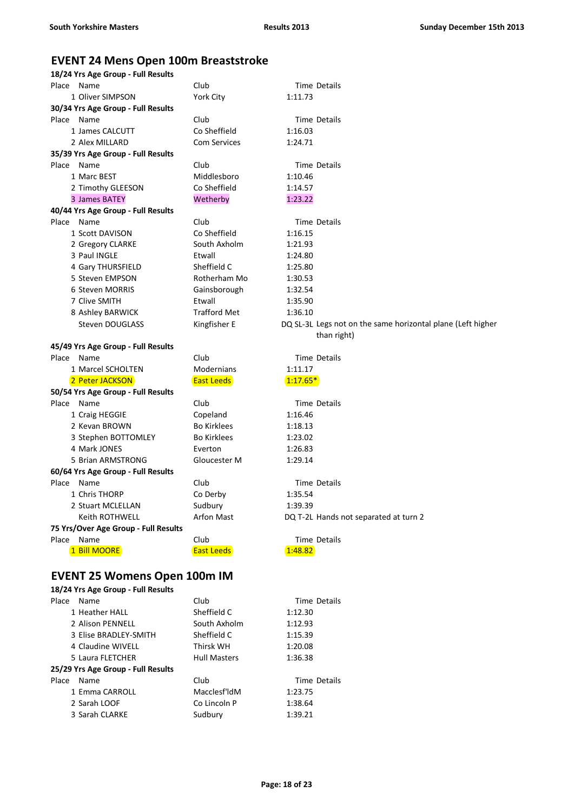### **EVENT 24 Mens Open 100m Breaststroke**

| 18/24 Yrs Age Group - Full Results   |                     |            |                                                             |
|--------------------------------------|---------------------|------------|-------------------------------------------------------------|
| Place Name                           | Club                |            | Time Details                                                |
| 1 Oliver SIMPSON                     | York City           | 1:11.73    |                                                             |
| 30/34 Yrs Age Group - Full Results   |                     |            |                                                             |
| Place Name                           | Club                |            | Time Details                                                |
| 1 James CALCUTT                      | Co Sheffield        | 1:16.03    |                                                             |
| 2 Alex MILLARD                       | <b>Com Services</b> | 1:24.71    |                                                             |
| 35/39 Yrs Age Group - Full Results   |                     |            |                                                             |
| Place Name                           | Club                |            | Time Details                                                |
| 1 Marc BEST                          | Middlesboro         | 1:10.46    |                                                             |
| 2 Timothy GLEESON                    | Co Sheffield        | 1:14.57    |                                                             |
| 3 James BATEY                        | Wetherby            | 1:23.22    |                                                             |
| 40/44 Yrs Age Group - Full Results   |                     |            |                                                             |
| Place Name                           | Club                |            | Time Details                                                |
| 1 Scott DAVISON                      | Co Sheffield        | 1:16.15    |                                                             |
| 2 Gregory CLARKE                     | South Axholm        | 1:21.93    |                                                             |
| 3 Paul INGLE                         | Etwall              | 1:24.80    |                                                             |
| 4 Gary THURSFIELD                    | Sheffield C         | 1:25.80    |                                                             |
| 5 Steven EMPSON                      | Rotherham Mo        | 1:30.53    |                                                             |
| 6 Steven MORRIS                      | Gainsborough        | 1:32.54    |                                                             |
| 7 Clive SMITH                        | Etwall              | 1:35.90    |                                                             |
| 8 Ashley BARWICK                     | <b>Trafford Met</b> | 1:36.10    |                                                             |
| Steven DOUGLASS                      | Kingfisher E        |            | DQ SL-3L Legs not on the same horizontal plane (Left higher |
|                                      |                     |            | than right)                                                 |
| 45/49 Yrs Age Group - Full Results   |                     |            |                                                             |
| Place Name                           | Club                |            | Time Details                                                |
| 1 Marcel SCHOLTEN                    | Modernians          | 1:11.17    |                                                             |
| 2 Peter JACKSON                      | <b>East Leeds</b>   | $1:17.65*$ |                                                             |
| 50/54 Yrs Age Group - Full Results   |                     |            |                                                             |
| Place Name                           | Club                |            | Time Details                                                |
| 1 Craig HEGGIE                       | Copeland            | 1:16.46    |                                                             |
| 2 Kevan BROWN                        | <b>Bo Kirklees</b>  | 1:18.13    |                                                             |
| 3 Stephen BOTTOMLEY                  | <b>Bo Kirklees</b>  | 1:23.02    |                                                             |
| 4 Mark JONES                         | Everton             | 1:26.83    |                                                             |
| 5 Brian ARMSTRONG                    | Gloucester M        | 1:29.14    |                                                             |
| 60/64 Yrs Age Group - Full Results   |                     |            |                                                             |
| Place Name                           | Club                |            | Time Details                                                |
| 1 Chris THORP                        | Co Derby            | 1:35.54    |                                                             |
| 2 Stuart MCLELLAN                    | Sudbury             | 1:39.39    |                                                             |
| Keith ROTHWELL                       | Arfon Mast          |            | DQ T-2L Hands not separated at turn 2                       |
| 75 Yrs/Over Age Group - Full Results |                     |            |                                                             |
| Place<br>Name                        | Club                |            | Time Details                                                |
| 1 Bill MOORE                         | <b>East Leeds</b>   | 1:48.82    |                                                             |
|                                      |                     |            |                                                             |
|                                      |                     |            |                                                             |
| <b>EVENT 25 Womens Open 100m IM</b>  |                     |            |                                                             |
| 18/24 Yrs Age Group - Full Results   |                     |            |                                                             |
| Place Name                           | Club                |            | Time Details                                                |
| 1 Heather HALL                       | Sheffield C         | 1:12.30    |                                                             |

|       | 1 Heather HALL                     | Sheffield C         | 1:12.30             |
|-------|------------------------------------|---------------------|---------------------|
|       | 2 Alison PENNELL                   | South Axholm        | 1:12.93             |
|       | 3 Elise BRADLEY-SMITH              | Sheffield C         | 1:15.39             |
|       | 4 Claudine WIVELL                  | Thirsk WH           | 1:20.08             |
|       | 5 Laura FLETCHER                   | <b>Hull Masters</b> | 1:36.38             |
|       | 25/29 Yrs Age Group - Full Results |                     |                     |
| Place | Name                               | Club                | <b>Time Details</b> |
|       | 1 Emma CARROLL                     | Macclesf'ldM        | 1:23.75             |
|       | 2 Sarah LOOF                       | Co Lincoln P        | 1:38.64             |
|       | 3 Sarah CLARKE                     | Sudbury             | 1:39.21             |
|       |                                    |                     |                     |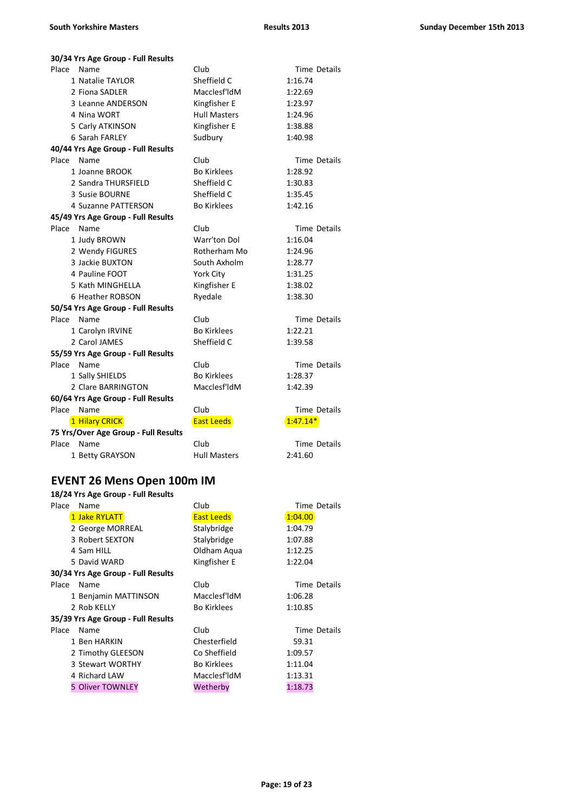| 30/34 Yrs Age Group - Full Results   |                     |                     |
|--------------------------------------|---------------------|---------------------|
| Place<br>Name                        | Club                | Time Details        |
| 1 Natalie TAYLOR                     | Sheffield C         | 1:16.74             |
| 2 Fiona SADLER                       | Macclesf'ldM        | 1:22.69             |
| 3 Leanne ANDERSON                    | Kingfisher E        | 1:23.97             |
| 4 Nina WORT                          | <b>Hull Masters</b> | 1:24.96             |
| 5 Carly ATKINSON                     | Kingfisher E        | 1:38.88             |
| 6 Sarah FARLEY                       | Sudbury             | 1:40.98             |
| 40/44 Yrs Age Group - Full Results   |                     |                     |
| Place<br>Name                        | Club                | Time Details        |
| 1 Joanne BROOK                       | <b>Bo Kirklees</b>  | 1:28.92             |
| 2 Sandra THURSFIELD                  | Sheffield C         | 1:30.83             |
| 3 Susie BOURNE                       | Sheffield C         | 1:35.45             |
| 4 Suzanne PATTERSON                  | <b>Bo Kirklees</b>  | 1:42.16             |
| 45/49 Yrs Age Group - Full Results   |                     |                     |
| Place<br>Name                        | Club                | Time Details        |
| 1 Judy BROWN                         | Warr'ton Dol        | 1:16.04             |
| 2 Wendy FIGURES                      | Rotherham Mo        | 1:24.96             |
| 3 Jackie BUXTON                      | South Axholm        | 1:28.77             |
| 4 Pauline FOOT                       | York City           | 1:31.25             |
| 5 Kath MINGHELLA                     | Kingfisher E        | 1:38.02             |
| 6 Heather ROBSON                     | Ryedale             | 1:38.30             |
| 50/54 Yrs Age Group - Full Results   |                     |                     |
| Place Name                           | Club                | <b>Time Details</b> |
| 1 Carolyn IRVINE                     | <b>Bo Kirklees</b>  | 1:22.21             |
| 2 Carol JAMES                        | Sheffield C         | 1:39.58             |
| 55/59 Yrs Age Group - Full Results   |                     |                     |
| Place<br>Name                        | Club                | Time Details        |
| 1 Sally SHIELDS                      | <b>Bo Kirklees</b>  | 1:28.37             |
| 2 Clare BARRINGTON                   | Macclesf'ldM        | 1:42.39             |
| 60/64 Yrs Age Group - Full Results   |                     |                     |
| Place<br>Name                        | Club                | Time Details        |
| 1 Hilary CRICK                       | <b>East Leeds</b>   | $1:47.14*$          |
| 75 Yrs/Over Age Group - Full Results |                     |                     |
| Place<br>Name                        | Club                | Time Details        |
| 1 Betty GRAYSON                      | <b>Hull Masters</b> | 2:41.60             |

### **EVENT 26 Mens Open 100m IM**

| Place | Name                               | Club               | Time Details |
|-------|------------------------------------|--------------------|--------------|
|       | 1 Jake RYLATT                      | <b>East Leeds</b>  | 1:04.00      |
|       | 2 George MORREAL                   | Stalybridge        | 1:04.79      |
|       | 3 Robert SEXTON                    | Stalybridge        | 1:07.88      |
|       | 4 Sam HILL                         | Oldham Aqua        | 1:12.25      |
|       | 5 David WARD                       | Kingfisher E       | 1:22.04      |
|       | 30/34 Yrs Age Group - Full Results |                    |              |
| Place | Name                               | Club               | Time Details |
|       | 1 Benjamin MATTINSON               | Macclesf'ldM       | 1:06.28      |
|       | 2 Rob KELLY                        | <b>Bo Kirklees</b> | 1:10.85      |
|       | 35/39 Yrs Age Group - Full Results |                    |              |
| Place | Name                               | Club               | Time Details |
|       | 1 Ben HARKIN                       | Chesterfield       | 59.31        |
|       | 2 Timothy GLEESON                  | Co Sheffield       | 1:09.57      |
|       | 3 Stewart WORTHY                   | <b>Bo Kirklees</b> | 1:11.04      |
|       | 4 Richard LAW                      | Macclesf'ldM       | 1:13.31      |
|       | 5 Oliver TOWNLEY                   | Wetherby           | 1:18.73      |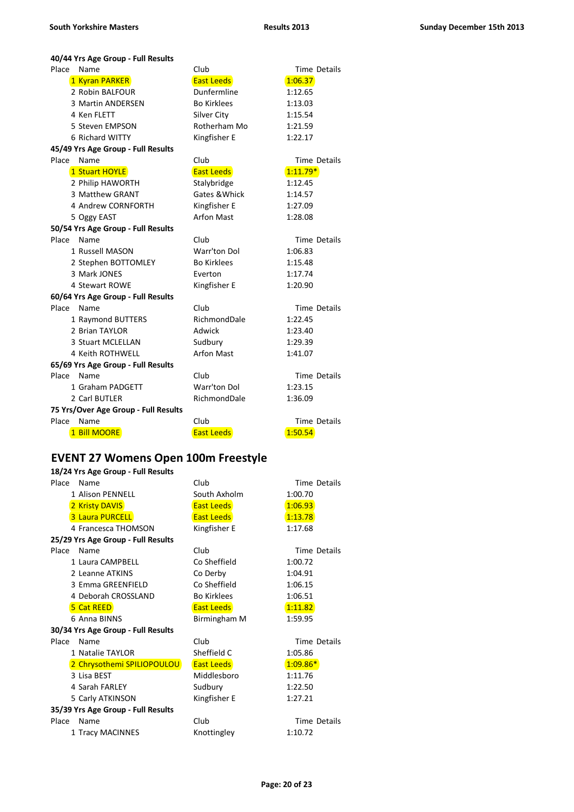| 40/44 Yrs Age Group - Full Results |  |  |  |
|------------------------------------|--|--|--|
|------------------------------------|--|--|--|

| Place<br>Name                        | Club               | <b>Time Details</b> |
|--------------------------------------|--------------------|---------------------|
| 1 Kyran PARKER                       | <b>East Leeds</b>  | 1:06.37             |
| 2 Robin BALFOUR                      | Dunfermline        | 1:12.65             |
| 3 Martin ANDERSEN                    | <b>Bo Kirklees</b> | 1:13.03             |
| 4 Ken FLETT                          | Silver City        | 1:15.54             |
| 5 Steven EMPSON                      | Rotherham Mo       | 1:21.59             |
| 6 Richard WITTY                      | Kingfisher E       | 1:22.17             |
| 45/49 Yrs Age Group - Full Results   |                    |                     |
| Place<br>Name                        | Club               | <b>Time Details</b> |
| 1 Stuart HOYLE                       | <b>East Leeds</b>  | $1:11.79*$          |
| 2 Philip HAWORTH                     | Stalybridge        | 1:12.45             |
| 3 Matthew GRANT                      | Gates & Whick      | 1:14.57             |
| 4 Andrew CORNFORTH                   | Kingfisher E       | 1:27.09             |
| 5 Oggy EAST                          | <b>Arfon Mast</b>  | 1:28.08             |
| 50/54 Yrs Age Group - Full Results   |                    |                     |
| Place<br>Name                        | Club               | Time Details        |
| 1 Russell MASON                      | Warr'ton Dol       | 1:06.83             |
| 2 Stephen BOTTOMLEY                  | <b>Bo Kirklees</b> | 1:15.48             |
| 3 Mark JONES                         | Everton            | 1:17.74             |
| 4 Stewart ROWE                       | Kingfisher E       | 1:20.90             |
| 60/64 Yrs Age Group - Full Results   |                    |                     |
| Place Name                           | Club               | <b>Time Details</b> |
| 1 Raymond BUTTERS                    | RichmondDale       | 1:22.45             |
| 2 Brian TAYLOR                       | Adwick             | 1:23.40             |
| 3 Stuart MCLELLAN                    | Sudbury            | 1:29.39             |
| 4 Keith ROTHWELL                     | <b>Arfon Mast</b>  | 1:41.07             |
| 65/69 Yrs Age Group - Full Results   |                    |                     |
| Place<br>Name                        | Club               | <b>Time Details</b> |
| 1 Graham PADGETT                     | Warr'ton Dol       | 1:23.15             |
| 2 Carl BUTLER                        | RichmondDale       | 1:36.09             |
| 75 Yrs/Over Age Group - Full Results |                    |                     |
| Place<br>Name                        | Club               | <b>Time Details</b> |
| 1 Bill MOORE                         | <b>East Leeds</b>  | 1:50.54             |

#### **EVENT 27 Womens Open 100m Freestyle**

|       | 18/24 Yrs Age Group - Full Results |                    |                     |  |  |
|-------|------------------------------------|--------------------|---------------------|--|--|
| Place | Name                               | Club               | Time Details        |  |  |
|       | 1 Alison PENNELL                   | South Axholm       | 1:00.70             |  |  |
|       | 2 Kristy DAVIS                     | <b>East Leeds</b>  | 1:06.93             |  |  |
|       | 3 Laura PURCELL                    | <b>East Leeds</b>  | 1:13.78             |  |  |
|       | 4 Francesca THOMSON                | Kingfisher E       | 1:17.68             |  |  |
|       | 25/29 Yrs Age Group - Full Results |                    |                     |  |  |
| Place | Name                               | Club               | <b>Time Details</b> |  |  |
|       | 1 Laura CAMPBELL                   | Co Sheffield       | 1:00.72             |  |  |
|       | 2 Leanne ATKINS                    | Co Derby           | 1:04.91             |  |  |
|       | 3 Emma GREENFIELD                  | Co Sheffield       | 1:06.15             |  |  |
|       | 4 Deborah CROSSLAND                | <b>Bo Kirklees</b> | 1:06.51             |  |  |
|       | 5 Cat REED                         | <b>East Leeds</b>  | 1:11.82             |  |  |
|       | 6 Anna BINNS                       | Birmingham M       | 1:59.95             |  |  |
|       | 30/34 Yrs Age Group - Full Results |                    |                     |  |  |
| Place | Name                               | Club               | <b>Time Details</b> |  |  |
|       | 1 Natalie TAYLOR                   | Sheffield C        | 1:05.86             |  |  |
|       | 2 Chrysothemi SPILIOPOULOU         | <b>East Leeds</b>  | $1:09.86*$          |  |  |
|       | 3 Lisa BEST                        | Middlesboro        | 1:11.76             |  |  |
|       | 4 Sarah FARLEY                     | Sudbury            | 1:22.50             |  |  |
|       | 5 Carly ATKINSON                   | Kingfisher E       | 1:27.21             |  |  |
|       | 35/39 Yrs Age Group - Full Results |                    |                     |  |  |
| Place | Name                               | Club               | Time Details        |  |  |
|       | 1 Tracy MACINNES                   | Knottingley        | 1:10.72             |  |  |
|       |                                    |                    |                     |  |  |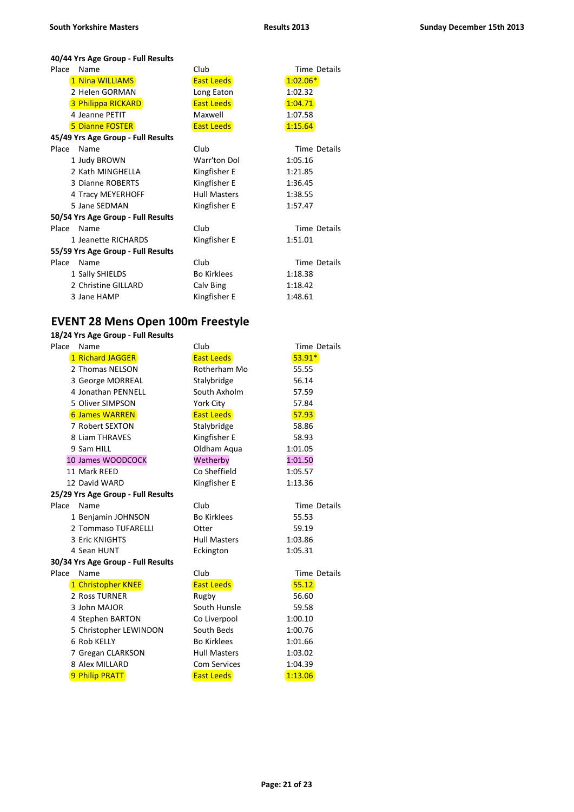**40/44 Yrs Age Group - Full Results**

| Place | Name                               | Club                | Time Details        |
|-------|------------------------------------|---------------------|---------------------|
|       | 1 Nina WILLIAMS                    | <b>East Leeds</b>   | $1:02.06*$          |
|       | 2 Helen GORMAN                     | Long Eaton          | 1:02.32             |
|       | 3 Philippa RICKARD                 | <b>East Leeds</b>   | 1:04.71             |
|       | 4 Jeanne PETIT                     | Maxwell             | 1:07.58             |
|       | <b>5 Dianne FOSTER</b>             | <b>East Leeds</b>   | 1:15.64             |
|       | 45/49 Yrs Age Group - Full Results |                     |                     |
| Place | Name                               | Club                | Time Details        |
|       | 1 Judy BROWN                       | Warr'ton Dol        | 1:05.16             |
|       | 2 Kath MINGHELLA                   | Kingfisher E        | 1:21.85             |
|       | 3 Dianne ROBERTS                   | Kingfisher E        | 1:36.45             |
|       | 4 Tracy MEYERHOFF                  | <b>Hull Masters</b> | 1:38.55             |
|       | 5 Jane SEDMAN                      | Kingfisher E        | 1:57.47             |
|       | 50/54 Yrs Age Group - Full Results |                     |                     |
| Place | Name                               | Club                | Time Details        |
|       | 1 Jeanette RICHARDS                | Kingfisher E        | 1:51.01             |
|       | 55/59 Yrs Age Group - Full Results |                     |                     |
| Place | Name                               | Club                | <b>Time Details</b> |
|       | 1 Sally SHIELDS                    | <b>Bo Kirklees</b>  | 1:18.38             |
|       | 2 Christine GILLARD                | Calv Bing           | 1:18.42             |
|       | 3 Jane HAMP                        | Kingfisher E        | 1:48.61             |

### **EVENT 28 Mens Open 100m Freestyle**

| Place | Name                               | Club                | Time Details |
|-------|------------------------------------|---------------------|--------------|
|       | 1 Richard JAGGER                   | <b>East Leeds</b>   | $53.91*$     |
|       | 2 Thomas NELSON                    | Rotherham Mo        | 55.55        |
|       | 3 George MORREAL                   | Stalybridge         | 56.14        |
|       | 4 Jonathan PENNELL                 | South Axholm        | 57.59        |
|       | 5 Oliver SIMPSON                   | York City           | 57.84        |
|       | <b>6 James WARREN</b>              | <b>East Leeds</b>   | 57.93        |
|       | 7 Robert SEXTON                    | Stalybridge         | 58.86        |
|       | 8 Liam THRAVES                     | Kingfisher E        | 58.93        |
|       | 9 Sam HILL                         | Oldham Aqua         | 1:01.05      |
|       | 10 James WOODCOCK                  | Wetherby            | 1:01.50      |
|       | 11 Mark REED                       | Co Sheffield        | 1:05.57      |
|       | 12 David WARD                      | Kingfisher E        | 1:13.36      |
|       | 25/29 Yrs Age Group - Full Results |                     |              |
| Place | Name                               | Club                | Time Details |
|       | 1 Benjamin JOHNSON                 | <b>Bo Kirklees</b>  | 55.53        |
|       | 2 Tommaso TUFARELLI                | Otter               | 59.19        |
|       | 3 Eric KNIGHTS                     | <b>Hull Masters</b> | 1:03.86      |
|       | 4 Sean HUNT                        | Eckington           | 1:05.31      |
|       | 30/34 Yrs Age Group - Full Results |                     |              |
| Place | Name                               | Club                | Time Details |
|       | 1 Christopher KNEE                 | <b>East Leeds</b>   | 55.12        |
|       | 2 Ross TURNER                      | Rugby               | 56.60        |
|       | 3 John MAJOR                       | South Hunsle        | 59.58        |
|       | 4 Stephen BARTON                   | Co Liverpool        | 1:00.10      |
|       | 5 Christopher LEWINDON             | South Beds          | 1:00.76      |
|       | 6 Rob KELLY                        | <b>Bo Kirklees</b>  | 1:01.66      |
|       | 7 Gregan CLARKSON                  | <b>Hull Masters</b> | 1:03.02      |
|       | 8 Alex MILLARD                     | <b>Com Services</b> | 1:04.39      |
|       | 9 Philip PRATT                     | <b>East Leeds</b>   | 1:13.06      |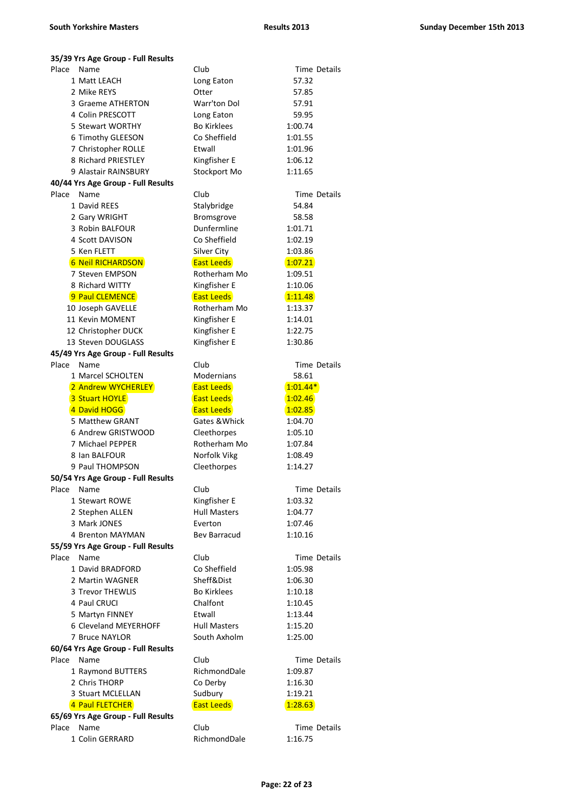| 35/39 Yrs Age Group - Full Results |                     |                     |
|------------------------------------|---------------------|---------------------|
| Place<br>Name                      | Club                | Time Details        |
| 1 Matt LEACH                       | Long Eaton          | 57.32               |
| 2 Mike REYS                        | Otter               | 57.85               |
| 3 Graeme ATHERTON                  | Warr'ton Dol        | 57.91               |
| 4 Colin PRESCOTT                   | Long Eaton          | 59.95               |
| 5 Stewart WORTHY                   | <b>Bo Kirklees</b>  | 1:00.74             |
| 6 Timothy GLEESON                  | Co Sheffield        | 1:01.55             |
| 7 Christopher ROLLE                | Etwall              | 1:01.96             |
| 8 Richard PRIESTLEY                | Kingfisher E        | 1:06.12             |
| 9 Alastair RAINSBURY               | Stockport Mo        | 1:11.65             |
| 40/44 Yrs Age Group - Full Results |                     |                     |
| Place<br>Name                      | Club                | Time Details        |
| 1 David REES                       | Stalybridge         | 54.84               |
| 2 Gary WRIGHT                      | Bromsgrove          | 58.58               |
| 3 Robin BALFOUR                    | Dunfermline         | 1:01.71             |
| 4 Scott DAVISON                    | Co Sheffield        | 1:02.19             |
| 5 Ken FLETT                        | Silver City         | 1:03.86             |
| <b>6 Neil RICHARDSON</b>           | <b>East Leeds</b>   | 1:07.21             |
| 7 Steven EMPSON                    | Rotherham Mo        | 1:09.51             |
| 8 Richard WITTY                    | Kingfisher E        | 1:10.06             |
| 9 Paul CLEMENCE                    | <b>East Leeds</b>   | 1:11.48             |
| 10 Joseph GAVELLE                  | Rotherham Mo        | 1:13.37             |
| 11 Kevin MOMENT                    | Kingfisher E        | 1:14.01             |
| 12 Christopher DUCK                | Kingfisher E        | 1:22.75             |
| 13 Steven DOUGLASS                 | Kingfisher E        | 1:30.86             |
| 45/49 Yrs Age Group - Full Results |                     |                     |
| Place<br>Name                      | Club                | Time Details        |
| 1 Marcel SCHOLTEN                  | Modernians          | 58.61               |
| 2 Andrew WYCHERLEY                 | <b>East Leeds</b>   | $1:01.44*$          |
| 3 Stuart HOYLE                     | <b>East Leeds</b>   | 1:02.46             |
| 4 David HOGG                       | <b>East Leeds</b>   | 1:02.85             |
| 5 Matthew GRANT                    | Gates & Whick       | 1:04.70             |
| 6 Andrew GRISTWOOD                 | Cleethorpes         | 1:05.10             |
| 7 Michael PEPPER                   | Rotherham Mo        | 1:07.84             |
| 8 Ian BALFOUR                      | Norfolk Vikg        | 1:08.49             |
| 9 Paul THOMPSON                    | Cleethorpes         | 1:14.27             |
| 50/54 Yrs Age Group - Full Results |                     |                     |
| Place<br>Name                      | Club                | Time Details        |
| 1 Stewart ROWE                     | Kingfisher E        | 1:03.32             |
| 2 Stephen ALLEN                    | <b>Hull Masters</b> | 1:04.77             |
| 3 Mark JONES                       | Everton             | 1:07.46             |
| 4 Brenton MAYMAN                   | <b>Bev Barracud</b> | 1:10.16             |
| 55/59 Yrs Age Group - Full Results |                     |                     |
| Place<br>Name                      | Club                | <b>Time Details</b> |
| 1 David BRADFORD                   | Co Sheffield        | 1:05.98             |
| 2 Martin WAGNER                    | Sheff&Dist          | 1:06.30             |
| 3 Trevor THEWLIS                   | <b>Bo Kirklees</b>  | 1:10.18             |
| 4 Paul CRUCI                       | Chalfont            | 1:10.45             |
| 5 Martyn FINNEY                    | Etwall              | 1:13.44             |
| 6 Cleveland MEYERHOFF              | <b>Hull Masters</b> | 1:15.20             |
| 7 Bruce NAYLOR                     | South Axholm        | 1:25.00             |
| 60/64 Yrs Age Group - Full Results |                     |                     |
| Place<br>Name                      | Club                | Time Details        |
| 1 Raymond BUTTERS                  | RichmondDale        | 1:09.87             |
| 2 Chris THORP                      | Co Derby            | 1:16.30             |
| 3 Stuart MCLELLAN                  | Sudbury             | 1:19.21             |
| 4 Paul FLETCHER                    | <b>East Leeds</b>   | 1:28.63             |
| 65/69 Yrs Age Group - Full Results |                     |                     |
| Place<br>Name                      | Club                | Time Details        |
| 1 Colin GERRARD                    | RichmondDale        | 1:16.75             |